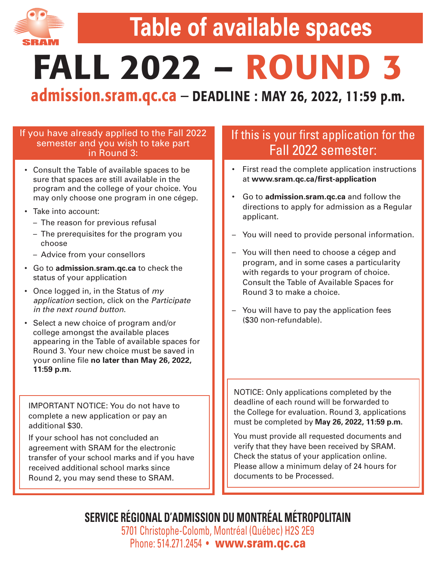

# **Table of available spaces**

**FALL 2022 – ROUND 3**

# **admission.sram.qc.ca** – **DEADLINE : MAY 26, 2022, 11:59 p.m.**

#### If you have already applied to the Fall 2022 semester and you wish to take part in Round 3:

- Consult the Table of available spaces to be sure that spaces are still available in the program and the college of your choice. You may only choose one program in one cégep.
- Take into account:
	- The reason for previous refusal
	- The prerequisites for the program you choose
	- Advice from your consellors
- Go to **admission.sram.qc.ca** to check the status of your application
- Once logged in, in the Status of *my application* section, click on the *Participate in the next round button*.
- Select a new choice of program and/or college amongst the available places appearing in the Table of available spaces for Round 3. Your new choice must be saved in your online file **no later than May 26, 2022, 11:59 p.m.**

IMPORTANT NOTICE: You do not have to complete a new application or pay an additional \$30.

If your school has not concluded an agreement with SRAM for the electronic transfer of your school marks and if you have received additional school marks since Round 2, you may send these to SRAM.

### If this is your first application for the Fall 2022 semester:

- First read the complete application instructions at **www.sram.qc.ca/first-application**
- Go to **admission.sram.qc.ca** and follow the directions to apply for admission as a Regular applicant.
- You will need to provide personal information.
- You will then need to choose a cégep and program, and in some cases a particularity with regards to your program of choice. Consult the Table of Available Spaces for Round 3 to make a choice.
- You will have to pay the application fees (\$30 non-refundable).

NOTICE: Only applications completed by the deadline of each round will be forwarded to the College for evaluation. Round 3, applications must be completed by **May 26, 2022, 11:59 p.m.**

You must provide all requested documents and verify that they have been received by SRAM. Check the status of your application online. Please allow a minimum delay of 24 hours for documents to be Processed.

**SERVICE RÉGIONAL D'ADMISSION DU MONTRÉAL MÉTROPOLITAIN** 5701 Christophe-Colomb, Montréal (Québec) H2S 2E9 Phone: 514.271.2454 • **www.sram.qc.ca**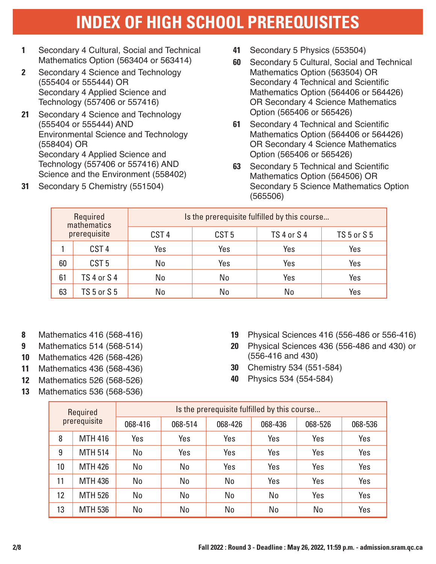# **INDEX OF HIGH SCHOOL PREREQUISITES**

- **1** Secondary 4 Cultural, Social and Technical Mathematics Option (563404 or 563414)
- **2** Secondary 4 Science and Technology (555404 or 555444) OR Secondary 4 Applied Science and Technology (557406 or 557416)
- **21** Secondary 4 Science and Technology (555404 or 555444) AND Environmental Science and Technology (558404) OR Secondary 4 Applied Science and Technology (557406 or 557416) AND Science and the Environment (558402)
- **31** Secondary 5 Chemistry (551504)
- **41** Secondary 5 Physics (553504)
- **60** Secondary 5 Cultural, Social and Technical Mathematics Option (563504) OR Secondary 4 Technical and Scientific Mathematics Option (564406 or 564426) OR Secondary 4 Science Mathematics Option (565406 or 565426)
- **61** Secondary 4 Technical and Scientific Mathematics Option (564406 or 564426) OR Secondary 4 Science Mathematics Option (565406 or 565426)
- **63** Secondary 5 Technical and Scientific Mathematics Option (564506) OR Secondary 5 Science Mathematics Option (565506)

|    | Required<br>mathematics |                  | Is the prerequisite fulfilled by this course |                    |                    |
|----|-------------------------|------------------|----------------------------------------------|--------------------|--------------------|
|    | prerequisite            | CST <sub>4</sub> | CST <sub>5</sub>                             | <b>TS 4 or S 4</b> | <b>TS 5 or S 5</b> |
|    | CST <sub>4</sub>        | Yes              | Yes                                          | Yes                | Yes                |
| 60 | CST <sub>5</sub>        | No               | Yes                                          | Yes                | Yes                |
| 61 | <b>TS 4 or S 4</b>      | No               | No                                           | Yes                | Yes                |
| 63 | <b>TS 5 or S 5</b>      | No               | No                                           | No                 | Yes                |

- **8** Mathematics 416 (568-416)
- **9** Mathematics 514 (568-514)
- **10** Mathematics 426 (568-426)
- **11** Mathematics 436 (568-436)
- **12** Mathematics 526 (568-526)
- **13** Mathematics 536 (568-536)
- **19** Physical Sciences 416 (556-486 or 556-416)
- **20** Physical Sciences 436 (556-486 and 430) or (556-416 and 430)
- **30** Chemistry 534 (551-584)
- **40** Physics 534 (554-584)

|    | Required       |         |         | Is the prerequisite fulfilled by this course |         |         |         |
|----|----------------|---------|---------|----------------------------------------------|---------|---------|---------|
|    | prerequisite   | 068-416 | 068-514 | 068-426                                      | 068-436 | 068-526 | 068-536 |
| 8  | <b>MTH 416</b> | Yes     | Yes     | Yes                                          | Yes     | Yes     | Yes     |
| 9  | <b>MTH 514</b> | No      | Yes     | Yes                                          | Yes     | Yes     | Yes     |
| 10 | <b>MTH 426</b> | No      | No      | Yes                                          | Yes     | Yes     | Yes     |
| 11 | <b>MTH 436</b> | No      | No      | No                                           | Yes     | Yes     | Yes     |
| 12 | <b>MTH 526</b> | No      | No      | No                                           | No      | Yes     | Yes     |
| 13 | <b>MTH 536</b> | No      | No      | No                                           | No      | No      | Yes     |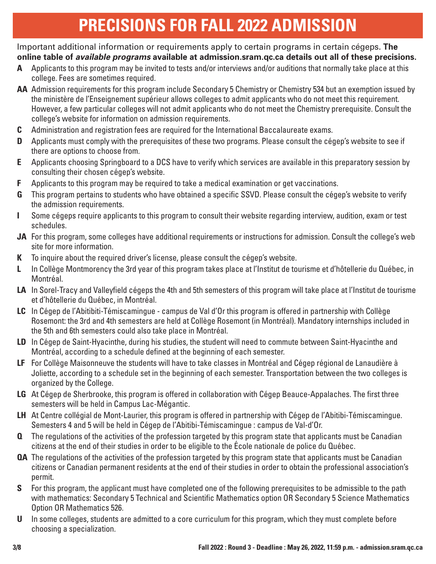# **PRECISIONS FOR FALL 2022 ADMISSION**

Important additional information or requirements apply to certain programs in certain cégeps. **The online table of** *available programs* **available at admission.sram.qc.ca details out all of these precisions.**

- **A** Applicants to this program may be invited to tests and/or interviews and/or auditions that normally take place at this college. Fees are sometimes required.
- **AA** Admission requirements for this program include Secondary 5 Chemistry or Chemistry 534 but an exemption issued by the ministère de l'Enseignement supérieur allows colleges to admit applicants who do not meet this requirement. However, a few particular colleges will not admit applicants who do not meet the Chemistry prerequisite. Consult the college's website for information on admission requirements.
- **C** Administration and registration fees are required for the International Baccalaureate exams.
- **D** Applicants must comply with the prerequisites of these two programs. Please consult the cégep's website to see if there are options to choose from.
- **E** Applicants choosing Springboard to a DCS have to verify which services are available in this preparatory session by consulting their chosen cégep's website.
- **F** Applicants to this program may be required to take a medical examination or get vaccinations.
- **G** This program pertains to students who have obtained a specific SSVD. Please consult the cégep's website to verify the admission requirements.
- **I** Some cégeps require applicants to this program to consult their website regarding interview, audition, exam or test schedules.
- **JA** For this program, some colleges have additional requirements or instructions for admission. Consult the college's web site for more information.
- **K** To inquire about the required driver's license, please consult the cégep's website.
- **L** In Collège Montmorency the 3rd year of this program takes place at l'Institut de tourisme et d'hôtellerie du Québec, in Montréal.
- **LA** In Sorel-Tracy and Valleyfield cégeps the 4th and 5th semesters of this program will take place at l'Institut de tourisme et d'hôtellerie du Québec, in Montréal.
- **LC** In Cégep de l'Abitibiti-Témiscamingue campus de Val d'Or this program is offered in partnership with Collège Rosemont: the 3rd and 4th semesters are held at Collège Rosemont (in Montréal). Mandatory internships included in the 5th and 6th semesters could also take place in Montréal.
- **LD** In Cégep de Saint-Hyacinthe, during his studies, the student will need to commute between Saint-Hyacinthe and Montréal, according to a schedule defined at the beginning of each semester.
- **LF** For Collège Maisonneuve the students will have to take classes in Montréal and Cégep régional de Lanaudière à Joliette, according to a schedule set in the beginning of each semester. Transportation between the two colleges is organized by the College.
- **LG** At Cégep de Sherbrooke, this program is offered in collaboration with Cégep Beauce-Appalaches. The first three semesters will be held in Campus Lac-Mégantic.
- **LH** At Centre collégial de Mont-Laurier, this program is offered in partnership with Cégep de l'Abitibi-Témiscamingue. Semesters 4 and 5 will be held in Cégep de l'Abitibi-Témiscamingue : campus de Val-d'Or.
- **Q** The regulations of the activities of the profession targeted by this program state that applicants must be Canadian citizens at the end of their studies in order to be eligible to the École nationale de police du Québec.
- **QA** The regulations of the activities of the profession targeted by this program state that applicants must be Canadian citizens or Canadian permanent residents at the end of their studies in order to obtain the professional association's permit.
- **S** For this program, the applicant must have completed one of the following prerequisites to be admissible to the path with mathematics: Secondary 5 Technical and Scientific Mathematics option OR Secondary 5 Science Mathematics Option OR Mathematics 526.
- **U** In some colleges, students are admitted to a core curriculum for this program, which they must complete before choosing a specialization.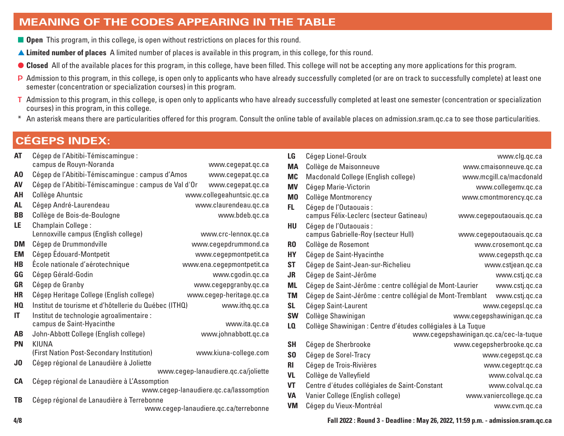### **MEANING OF THE CODES APPEARING IN THE TABLE**

- **n Open** This program, in this college, is open without restrictions on places for this round.
- s **Limited number of places** A limited number of places is available in this program, in this college, for this round.
- Closed All of the available places for this program, in this college, have been filled. This college will not be accepting any more applications for this program.
- P Admission to this program, in this college, is open only to applicants who have already successfully completed (or are on track to successfully complete) at least one semester (concentration or specialization courses) in this program.
- T Admission to this program, in this college, is open only to applicants who have already successfully completed at least one semester (concentration or specialization courses) in this program, in this college.
- \* An asterisk means there are particularities offered for this program. Consult the online table of available places on admission.sram.qc.ca to see those particularities.

### **CÉGEPS INDEX:**

| <b>AT</b>      | Cégep de l'Abitibi-Témiscamingue :                    |                                        |
|----------------|-------------------------------------------------------|----------------------------------------|
|                | campus de Rouyn-Noranda                               | www.cegepat.qc.ca                      |
| A0             | Cégep de l'Abitibi-Témiscamingue : campus d'Amos      | www.cegepat.qc.ca                      |
| <b>AV</b>      | Cégep de l'Abitibi-Témiscamingue : campus de Val d'Or | www.cegepat.qc.ca                      |
| AH             | Collège Ahuntsic                                      | www.collegeahuntsic.qc.ca              |
| <b>AL</b>      | Cégep André-Laurendeau                                | www.claurendeau.qc.ca                  |
| <b>BB</b>      | Collège de Bois-de-Boulogne                           | www.bdeb.qc.ca                         |
| LE             | Champlain College:                                    |                                        |
|                | Lennoxville campus (English college)                  | www.crc-lennox.qc.ca                   |
| <b>DM</b>      | Cégep de Drummondville                                | www.cegepdrummond.ca                   |
| <b>EM</b>      | Cégep Édouard-Montpetit                               | www.cegepmontpetit.ca                  |
| <b>HB</b>      | École nationale d'aérotechnique                       | www.ena.cegepmontpetit.ca              |
| GG             | Cégep Gérald-Godin                                    | www.cgodin.qc.ca                       |
| <b>GR</b>      | Cégep de Granby                                       | www.cegepgranby.qc.ca                  |
| <b>HR</b>      | Cégep Heritage College (English college)              | www.cegep-heritage.qc.ca               |
| HQ             | Institut de tourisme et d'hôtellerie du Québec (ITHQ) | www.ithq.qc.ca                         |
| IT             | Institut de technologie agroalimentaire :             |                                        |
|                | campus de Saint-Hyacinthe                             | www.ita.gc.ca                          |
| <b>AB</b>      | John-Abbott College (English college)                 | www.johnabbott.qc.ca                   |
| <b>PN</b>      | KIUNA                                                 |                                        |
|                | (First Nation Post-Secondary Institution)             | www.kiuna-college.com                  |
| J <sub>0</sub> | Cégep régional de Lanaudière à Joliette               |                                        |
|                |                                                       | www.cegep-lanaudiere.qc.ca/joliette    |
| <b>CA</b>      | Cégep régional de Lanaudière à L'Assomption           |                                        |
|                |                                                       | www.cegep-lanaudiere.qc.ca/lassomption |
| TB             | Cégep régional de Lanaudière à Terrebonne             |                                        |
|                |                                                       | www.cegep-lanaudiere.qc.ca/terrebonne  |

| LG             | Cégep Lionel-Groulx                                               | www.clg.gc.ca                          |
|----------------|-------------------------------------------------------------------|----------------------------------------|
| <b>MA</b>      | Collège de Maisonneuve                                            | www.cmaisonneuve.qc.ca                 |
| <b>MC</b>      | Macdonald College (English college)                               | www.mcgill.ca/macdonald                |
| <b>MV</b>      | Cégep Marie-Victorin                                              | www.collegemv.qc.ca                    |
| M <sub>0</sub> | Collège Montmorency                                               | www.cmontmorency.qc.ca                 |
| FL.            | Cégep de l'Outaouais :<br>campus Félix-Leclerc (secteur Gatineau) | www.cegepoutaouais.gc.ca               |
| HU             | Cégep de l'Outaouais :<br>campus Gabrielle-Roy (secteur Hull)     | www.cegepoutaouais.gc.ca               |
| R <sub>0</sub> | Collège de Rosemont                                               | www.crosemont.qc.ca                    |
| <b>HY</b>      | Cégep de Saint-Hyacinthe                                          | www.cegepsth.qc.ca                     |
| <b>ST</b>      | Cégep de Saint-Jean-sur-Richelieu                                 | www.cstjean.qc.ca                      |
| <b>JR</b>      | Cégep de Saint-Jérôme                                             | www.cstj.qc.ca                         |
| <b>ML</b>      | Cégep de Saint-Jérôme : centre collégial de Mont-Laurier          | www.cstj.qc.ca                         |
| <b>TM</b>      | Cégep de Saint-Jérôme : centre collégial de Mont-Tremblant        | www.cstj.qc.ca                         |
| <b>SL</b>      | Cégep Saint-Laurent                                               | www.cegepsl.qc.ca                      |
| <b>SW</b>      | Collège Shawinigan                                                | www.cegepshawinigan.qc.ca              |
| LQ             | Collège Shawinigan : Centre d'études collégiales à La Tuque       |                                        |
|                |                                                                   | www.cegepshawinigan.qc.ca/cec-la-tuque |
| <b>SH</b>      | Cégep de Sherbrooke                                               | www.cegepsherbrooke.qc.ca              |
| S <sub>0</sub> | Cégep de Sorel-Tracy                                              | www.cegepst.qc.ca                      |
| <b>RI</b>      | Cégep de Trois-Rivières                                           | www.cegeptr.qc.ca                      |
| <b>VL</b>      | Collège de Valleyfield                                            | www.colval.qc.ca                       |
| <b>VT</b>      | Centre d'études collégiales de Saint-Constant                     | www.colval.gc.ca                       |
| <b>VA</b>      | Vanier College (English college)                                  | www.vaniercollege.qc.ca                |
| <b>VM</b>      | Cégep du Vieux-Montréal                                           | www.cvm.qc.ca                          |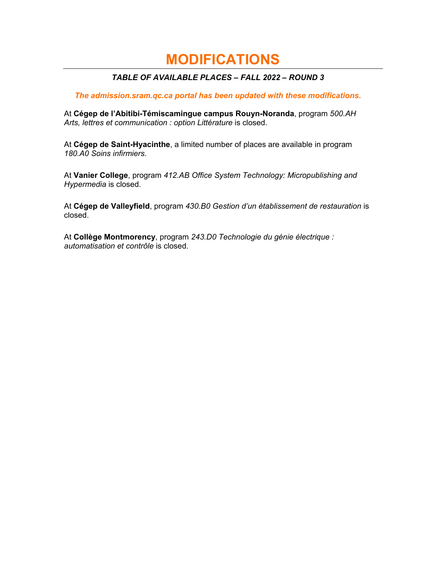## **MODIFICATIONS**

#### *TABLE OF AVAILABLE PLACES – FALL 2022 – ROUND 3*

#### *The admission.sram.qc.ca portal has been updated with these modifications***.**

At **Cégep de l'Abitibi-Témiscamingue campus Rouyn-Noranda**, program *500.AH Arts, lettres et communication : option Littérature* is closed.

At **Cégep de Saint-Hyacinthe**, a limited number of places are available in program *180.A0 Soins infirmiers*.

At **Vanier College**, program *412.AB Office System Technology: Micropublishing and Hypermedia* is closed.

At **Cégep de Valleyfield**, program *430.B0 Gestion d'un établissement de restauration* is closed.

At **Collège Montmorency**, program *243.D0 Technologie du génie électrique : automatisation et contrôle* is closed.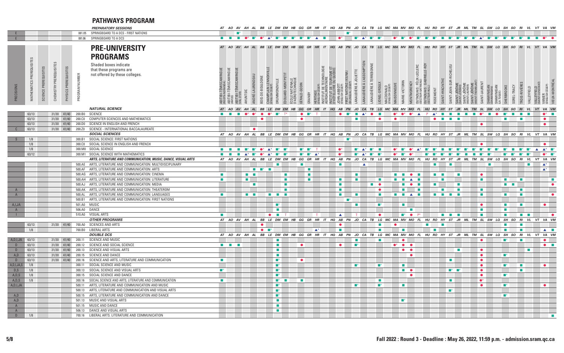### **PATHWAYS PROGRAM**

|                   |                             |                    |                      |                                       |                            | <b>PREPARATORY SESSIONS</b>                                                        |                            | AT AO AV AH AL BB LE DM EM HB GG GR HR IT HQ AB PN JO CA TB LG MC MA MV MO FL HU RO HY ST JR ML TM SL SW LQ SH SO RI VL VT VA VM |             |                                     |                        |                                                      |                                      |                                    |                                   |                                                                                                                                                                                                       |                                        |                                                |                 |                                                                |                                                      |                                      |                             |                   |                              |               |                                                 |                                                                                                                                                    |                                                                                                                                                                                                                                      |                 |                               |                                |                |                                                                                   |                   |             |                     |                    |                                                      |                                 |
|-------------------|-----------------------------|--------------------|----------------------|---------------------------------------|----------------------------|------------------------------------------------------------------------------------|----------------------------|----------------------------------------------------------------------------------------------------------------------------------|-------------|-------------------------------------|------------------------|------------------------------------------------------|--------------------------------------|------------------------------------|-----------------------------------|-------------------------------------------------------------------------------------------------------------------------------------------------------------------------------------------------------|----------------------------------------|------------------------------------------------|-----------------|----------------------------------------------------------------|------------------------------------------------------|--------------------------------------|-----------------------------|-------------------|------------------------------|---------------|-------------------------------------------------|----------------------------------------------------------------------------------------------------------------------------------------------------|--------------------------------------------------------------------------------------------------------------------------------------------------------------------------------------------------------------------------------------|-----------------|-------------------------------|--------------------------------|----------------|-----------------------------------------------------------------------------------|-------------------|-------------|---------------------|--------------------|------------------------------------------------------|---------------------------------|
|                   |                             |                    |                      |                                       | 081.05                     | SPRINGBOARD TO A DCS - FIRST NATIONS                                               |                            |                                                                                                                                  |             |                                     |                        |                                                      |                                      |                                    |                                   |                                                                                                                                                                                                       |                                        |                                                |                 |                                                                |                                                      |                                      |                             |                   |                              |               |                                                 |                                                                                                                                                    |                                                                                                                                                                                                                                      |                 |                               |                                |                |                                                                                   |                   |             |                     |                    |                                                      |                                 |
|                   |                             |                    |                      |                                       | 081.06                     | SPRINGBOARD TO A DCS                                                               | <b>Barbara</b>             | <b>College</b>                                                                                                                   |             |                                     |                        |                                                      |                                      |                                    |                                   | $\bullet^* \quad \blacksquare^* \quad \bullet^* \quad \blacktriangle^* \quad \blacksquare^* \quad \blacksquare^* \quad \blacksquare^* \quad \blacksquare^* \quad \blacksquare^* \quad \blacktriangle$ | <b>The State</b>                       |                                                | $\bullet^*$     |                                                                | $\blacksquare^*$ $\blacktriangle^*$ $\blacksquare^*$ |                                      | ■                           |                   |                              |               |                                                 | $\begin{array}{cccccccccc} \bullet^* & \blacksquare^* & \bullet^* & \blacksquare^* & \blacksquare^* & \blacksquare^* & \blacksquare^* \end{array}$ | <b>The Contract of the Contract of the Contract of the Contract of the Contract of the Contract of The Contract of The Contract of The Contract of The Contract of The Contract of The Contract of The Contract of The Contract </b> |                 | $\blacksquare^*$<br>−         |                                |                | $\blacksquare^* \quad \blacktriangle^* \quad \blacksquare^* \quad \blacksquare^*$ | $\blacksquare^*$  |             |                     |                    |                                                      |                                 |
|                   |                             |                    |                      |                                       |                            | <b>PRE-UNIVERSITY</b><br><b>PROGRAMS</b>                                           |                            | AT AO AV AH AL BB LE DM EM HB GG GR HR IT HQ AB PN JO CA TB LG MC MA MV MO FL HU RO HY ST JR                                     |             |                                     |                        |                                                      |                                      |                                    |                                   |                                                                                                                                                                                                       |                                        |                                                |                 |                                                                |                                                      |                                      |                             |                   |                              |               |                                                 |                                                                                                                                                    |                                                                                                                                                                                                                                      |                 |                               |                                |                | ML TM SL SW LQ SH SO RI VL VT VA VM                                               |                   |             |                     |                    |                                                      |                                 |
|                   | REREQUISITES<br>MATHEMATICS | SCIENCE PREREQUISI | TISIUSE<br>CHEMISTRY | PREREQUISITES<br>PHYSICS <sub>F</sub> | PROGRAM NUMBER             | Shaded boxes indicate<br>that these programs are<br>not offered by these colleges. | ABITIBI-TÉMISCA            | ABITIBI-TÉMISCAMINGUE<br>AMASI<br>ABITIBI-TÉMISCAMINGUE<br><sub>(VAL-D'OR)</sub>                                                 | AHUNTSIC    | ANDRÉ-LAURENDEAU                    | <b>BOIS-DE-BOULOGN</b> | CHAMPLAIN LENNOX<br>(ENGLISH CÉGEP)<br>DRUMMONDVILLE | EDOUARD-MONTPE                       | ÉCOLE NATIONALE<br>D'AÉROTECHNIQUE | GÉRALD-GODIN                      | HERITAGE<br>ENGLISH CÉ<br>GRANBY                                                                                                                                                                      | VSTITUT DE TECHNOLOG<br>GROALIMENTAIRE | ASTITUT DE TOURISME E<br>'HÔTELLERIE DU QUEBEC |                 | ANAUDIÈRE À JOLIETTE<br>RST NATIONS (KIUNA)<br>ILINGUAL CÉGEP) | LANAUDIÈRE À L'ASSOMPTION                            | LIONEL-GROULX<br><b>LANAUDIÈRE À</b> | MACDONALD<br>(ENGLISH CÉGEP | VIAISONNEUV       | <b>MARIE-VICTORIN</b>        | <b>MONTMO</b> | IAIS : FÉLI<br>GATINEAU                         | DUTAOUAIS : GA<br>(Secteur Hull)<br>ROSEMONT                                                                                                       | SAINT-HYACINTH                                                                                                                                                                                                                       | SAINT-JEAN-SUR- | SAINT-JÉRÔMI<br>SAINT-JÉRÔME) | SAINT-JÉRÔME<br>(MONT-TREMPLAN | SAINT-LAURENT  | <b>SHAWINIGAN</b><br>IIMWHS<br>IIMWHS                                             | <b>SHERBROOKE</b> | SOREL-TRACY | <b>ROIS-RIVIÈRE</b> | <b>/ALLEYFIELD</b> | VALLEYFIELD<br>(SAINT-CONSTAN)<br>VANIER<br>(ENGLISH |                                 |
|                   |                             |                    |                      |                                       |                            | <b>NATURAL SCIENCE</b>                                                             |                            | AT AO AV                                                                                                                         | AH          | AL                                  | BB                     | LE                                                   | DM EM HB                             |                                    | GG                                | GR<br>HR                                                                                                                                                                                              |                                        | $IT$ $HQ$                                      | $\overline{AB}$ | PN<br>JO                                                       | CA                                                   | TB                                   |                             | LG MC MA          | MV MO                        |               | FL                                              |                                                                                                                                                    | HU RO HY ST                                                                                                                                                                                                                          |                 | $J\!R$<br><b>ML</b>           | <b>TM</b>                      | SL             | 10                                                                                |                   | so          |                     | <b>VL</b>          | VT VA VM                                             |                                 |
|                   | 63/13                       |                    |                      |                                       | 31/30 41/40 200.B0 SCIENCE |                                                                                    | $\mathcal{L}_{\text{max}}$ | $\mathcal{L}_{\mathcal{A}}$                                                                                                      | $\bullet^*$ | $\bullet^*$                         |                        |                                                      |                                      |                                    | $\bullet$                         | $\blacksquare^*$                                                                                                                                                                                      |                                        |                                                | $\bullet$       | $\blacksquare$ *<br><b>The State</b>                           | $\blacktriangle^*$                                   |                                      |                             | $\bullet^*$       | $\bullet^*$                  | $\bullet^*$   |                                                 | $\blacktriangle^*$                                                                                                                                 | $\mathbf{r}$                                                                                                                                                                                                                         | $\blacksquare$  | <b>The Second</b>             |                                |                |                                                                                   |                   |             |                     |                    |                                                      | $\bullet^*$ .                   |
|                   | 63/13                       |                    |                      | 31/30 41/40                           | 200.CO                     | COMPUTER SCIENCES AND MATHEMATICS                                                  |                            |                                                                                                                                  |             |                                     |                        |                                                      |                                      |                                    |                                   |                                                                                                                                                                                                       |                                        |                                                |                 |                                                                |                                                      |                                      |                             |                   |                              |               |                                                 |                                                                                                                                                    |                                                                                                                                                                                                                                      |                 |                               |                                |                |                                                                                   |                   |             |                     |                    | $\bullet$                                            |                                 |
|                   | 63/13                       |                    |                      | 31/30 41/40                           | 200.DO                     | SCIENCE IN ENGLISH AND FRENCH                                                      |                            |                                                                                                                                  |             |                                     |                        |                                                      |                                      |                                    |                                   |                                                                                                                                                                                                       |                                        |                                                |                 |                                                                |                                                      |                                      |                             |                   |                              |               |                                                 |                                                                                                                                                    |                                                                                                                                                                                                                                      |                 |                               |                                |                |                                                                                   |                   |             |                     |                    | $\bullet$                                            |                                 |
|                   | 63/13                       |                    |                      |                                       |                            | 31/30 41/40 200.Z0 SCIENCE - INTERNATIONAL BACCALAUREATE                           |                            |                                                                                                                                  |             |                                     |                        |                                                      |                                      |                                    |                                   |                                                                                                                                                                                                       |                                        |                                                |                 |                                                                |                                                      |                                      |                             |                   |                              |               |                                                 |                                                                                                                                                    |                                                                                                                                                                                                                                      |                 |                               |                                |                |                                                                                   |                   |             |                     |                    |                                                      |                                 |
|                   |                             |                    |                      |                                       |                            | <b>SOCIAL SCIENCES</b>                                                             |                            | AT AO AV AH AL                                                                                                                   |             |                                     | <b>BB</b>              |                                                      | LE DM EM HB                          |                                    | GG                                | GR<br>HR                                                                                                                                                                                              | IT                                     |                                                | HQ AB PN        |                                                                | JO CA TB LG MC MA MV MO FL                           |                                      |                             |                   |                              |               |                                                 | HU RO HY                                                                                                                                           |                                                                                                                                                                                                                                      | ST              | IR                            |                                |                | ML TM SL SW LQ SH SO                                                              |                   |             | - RI                | <b>VL</b>          | VT VA VM                                             |                                 |
|                   | 1/8                         |                    |                      |                                       |                            | 300.B1 SOCIAL SCIENCE: FIRST NATIONS                                               |                            |                                                                                                                                  |             |                                     |                        |                                                      |                                      |                                    |                                   |                                                                                                                                                                                                       |                                        |                                                |                 |                                                                |                                                      |                                      |                             |                   |                              |               |                                                 |                                                                                                                                                    |                                                                                                                                                                                                                                      |                 |                               |                                |                |                                                                                   |                   |             |                     |                    |                                                      |                                 |
|                   | 1/8                         |                    |                      |                                       | 300.CO                     | SOCIAL SCIENCE IN ENGLISH AND FRENCH                                               |                            |                                                                                                                                  |             |                                     |                        |                                                      |                                      |                                    |                                   |                                                                                                                                                                                                       |                                        |                                                |                 |                                                                |                                                      |                                      |                             |                   |                              |               |                                                 |                                                                                                                                                    |                                                                                                                                                                                                                                      |                 |                               |                                |                |                                                                                   |                   |             |                     |                    | $\bullet$                                            |                                 |
|                   | 1/8                         |                    |                      |                                       |                            | 300.M0 SOCIAL SCIENCE                                                              |                            | ▐▌▕▊▏▐▌▕▊ <sup>*</sup> ▕▊ <sup>*</sup> ▕◎ <sup>*</sup> ▲ <sup>*</sup> ■ <sup>*</sup> ■ <sup>*</sup>                              |             |                                     |                        |                                                      |                                      |                                    | $\blacksquare^*$ $\blacksquare^*$ |                                                                                                                                                                                                       |                                        |                                                | $\bullet^*$     |                                                                | $\blacksquare^*$ $\blacktriangle^*$ $\blacksquare^*$ |                                      |                             |                   | $\bullet^*$ $\blacksquare^*$ |               | $\bullet^*$ $\blacktriangle^*$ $\blacksquare^*$ |                                                                                                                                                    |                                                                                                                                                                                                                                      |                 |                               | −                              |                | $\blacksquare^*$                                                                  |                   |             |                     |                    | $\blacktriangle$ $\blacktriangle$ $\blacktriangle$   |                                 |
|                   | 63/12                       |                    |                      |                                       |                            | 300.M1 SOCIAL SCIENCE WITH MATHEMATICS                                             | <b>The Second</b>          | $\sim 100$                                                                                                                       |             | $\blacktriangle^*$ $\blacksquare^*$ | $\bullet^*$            | - ▲*                                                 | −<br>a ma                            |                                    | ■*                                | $\blacksquare^*$<br>$\triangle^*$                                                                                                                                                                     |                                        |                                                | $\bullet^*$     | ■*                                                             | $\blacktriangle^*$                                   |                                      |                             | $\bullet^*$       |                              |               |                                                 |                                                                                                                                                    |                                                                                                                                                                                                                                      |                 |                               |                                |                |                                                                                   |                   |             |                     |                    |                                                      | $\bullet^*$ $\blacksquare$      |
|                   |                             |                    |                      |                                       |                            | ARTS, LITERATURE AND COMMUNICATION, MUSIC, DANCE, VISUAL ARTS                      |                            | AT AO AV AH AL                                                                                                                   |             |                                     | <b>BB</b>              |                                                      | LE DM EM HB                          |                                    | GG                                | GR HR                                                                                                                                                                                                 |                                        | IT HQ AB PN JO CA TB                           |                 |                                                                |                                                      |                                      |                             | LG MC MA MV MO FL |                              |               |                                                 | HU RO                                                                                                                                              |                                                                                                                                                                                                                                      |                 |                               |                                | SI             | SW LQ                                                                             | SН                | SO.         |                     | <b>VL</b>          | VT VA VM                                             |                                 |
|                   |                             |                    |                      |                                       |                            | 500.AE ARTS, LITERATURE AND COMMUNICATION: MULTIDISCIPLINARY                       |                            |                                                                                                                                  |             |                                     |                        |                                                      |                                      |                                    |                                   |                                                                                                                                                                                                       |                                        |                                                |                 |                                                                |                                                      |                                      |                             |                   |                              |               |                                                 |                                                                                                                                                    |                                                                                                                                                                                                                                      |                 |                               |                                |                |                                                                                   |                   |             |                     |                    | $\blacktriangle^*$                                   |                                 |
|                   |                             |                    |                      |                                       |                            | 500.AF ARTS, LITERATURE AND COMMUNICATION: ARTS                                    |                            |                                                                                                                                  |             | <b>The Second</b>                   | $\blacksquare$         | <b>CONTRACTOR</b>                                    |                                      |                                    |                                   | $\mathcal{L}_{\mathrm{eff}}$                                                                                                                                                                          |                                        |                                                |                 |                                                                |                                                      |                                      |                             |                   |                              |               |                                                 |                                                                                                                                                    |                                                                                                                                                                                                                                      |                 |                               |                                |                |                                                                                   |                   |             |                     |                    | $\blacktriangle^*$                                   |                                 |
|                   |                             |                    |                      |                                       |                            | 500.AG ARTS, LITERATURE AND COMMUNICATION: CINEMA                                  | $\blacksquare$             |                                                                                                                                  | <b>COL</b>  | $\blacksquare$                      |                        |                                                      |                                      |                                    |                                   | <b>The Second</b>                                                                                                                                                                                     |                                        |                                                |                 | $\blacksquare$                                                 |                                                      |                                      |                             |                   |                              | $\bullet$     |                                                 | $\mathcal{L}_{\mathcal{A}}$                                                                                                                        |                                                                                                                                                                                                                                      |                 | <b>The State</b>              |                                |                |                                                                                   |                   |             |                     |                    |                                                      |                                 |
|                   |                             |                    |                      |                                       |                            | 500.AH ARTS, LITERATURE AND COMMUNICATION: LITERATURE                              | <b>The Co</b>              |                                                                                                                                  |             |                                     |                        |                                                      |                                      |                                    |                                   |                                                                                                                                                                                                       |                                        |                                                |                 |                                                                |                                                      |                                      | $\mathbf{r}$                |                   |                              |               |                                                 |                                                                                                                                                    |                                                                                                                                                                                                                                      |                 |                               |                                |                |                                                                                   |                   |             |                     |                    |                                                      | <b>Table 19</b>                 |
|                   |                             |                    |                      |                                       |                            | 500.AJ ARTS, LITERATURE AND COMMUNICATION: MEDIA                                   |                            |                                                                                                                                  |             |                                     |                        |                                                      |                                      |                                    |                                   |                                                                                                                                                                                                       |                                        |                                                |                 |                                                                |                                                      | <b>The Second Service</b>            |                             |                   |                              | $\bullet$     |                                                 | <b>The Second</b>                                                                                                                                  |                                                                                                                                                                                                                                      |                 |                               |                                |                |                                                                                   | $\sim 10$         |             |                     |                    |                                                      | $\bullet$                       |
| $\mathsf{A}$      |                             |                    |                      |                                       |                            | 500.AK ARTS, LITERATURE AND COMMUNICATION: THEATEROM                               |                            |                                                                                                                                  |             |                                     |                        |                                                      |                                      |                                    |                                   |                                                                                                                                                                                                       |                                        |                                                |                 |                                                                |                                                      |                                      |                             |                   |                              |               |                                                 |                                                                                                                                                    |                                                                                                                                                                                                                                      |                 |                               |                                |                |                                                                                   |                   |             |                     |                    |                                                      |                                 |
| $\mathsf{A}$      |                             |                    |                      |                                       |                            | 500.AL ARTS, LITERATURE AND COMMUNICATION: LANGUAGES                               | $\mathcal{L}_{\text{max}}$ |                                                                                                                                  |             |                                     |                        | <b>COL</b>                                           |                                      |                                    |                                   |                                                                                                                                                                                                       |                                        |                                                |                 |                                                                |                                                      |                                      |                             | <b>The State</b>  |                              |               |                                                 | <b>The Second Service</b>                                                                                                                          |                                                                                                                                                                                                                                      |                 |                               |                                | <b>COL</b>     |                                                                                   |                   |             |                     |                    |                                                      | $\bullet$                       |
|                   |                             |                    |                      |                                       |                            | 500.B1 ARTS, LITERATURE AND COMMUNICATION: FIRST NATIONS                           |                            |                                                                                                                                  |             |                                     |                        |                                                      |                                      |                                    |                                   |                                                                                                                                                                                                       |                                        |                                                |                 |                                                                |                                                      |                                      |                             |                   |                              |               |                                                 |                                                                                                                                                    |                                                                                                                                                                                                                                      |                 |                               |                                |                |                                                                                   |                   |             |                     |                    |                                                      |                                 |
| A,I,JA            |                             |                    |                      |                                       | 501.A0 MUSIC               |                                                                                    |                            |                                                                                                                                  |             |                                     |                        |                                                      |                                      |                                    |                                   |                                                                                                                                                                                                       |                                        |                                                |                 | $\mathbf{r}$                                                   |                                                      |                                      | $\blacksquare^*$            |                   |                              |               |                                                 |                                                                                                                                                    |                                                                                                                                                                                                                                      |                 |                               |                                | $\bullet$      |                                                                                   |                   |             |                     |                    | $\bullet$                                            |                                 |
| $\mathsf{A}$      |                             |                    |                      |                                       | 506.A0 DANCE               |                                                                                    |                            |                                                                                                                                  |             |                                     |                        |                                                      |                                      |                                    |                                   |                                                                                                                                                                                                       |                                        |                                                |                 |                                                                |                                                      |                                      |                             |                   |                              |               |                                                 |                                                                                                                                                    |                                                                                                                                                                                                                                      |                 |                               |                                | $\blacksquare$ |                                                                                   |                   |             |                     |                    |                                                      |                                 |
|                   |                             |                    |                      |                                       |                            | 510.A0 VISUAL ARTS                                                                 | <b>The Co</b>              |                                                                                                                                  |             |                                     |                        |                                                      |                                      |                                    |                                   |                                                                                                                                                                                                       |                                        |                                                |                 |                                                                |                                                      |                                      |                             |                   | $\blacksquare$               |               |                                                 |                                                                                                                                                    |                                                                                                                                                                                                                                      |                 |                               |                                |                |                                                                                   |                   |             |                     |                    |                                                      |                                 |
|                   |                             |                    |                      |                                       |                            | <b>OTHER PROGRAMS</b>                                                              |                            | AT AO AV AH AL                                                                                                                   |             |                                     | BB                     |                                                      | LE DM EM HB                          |                                    | GG                                | GR<br>HR                                                                                                                                                                                              |                                        | IT HQ AB PN JO CA TB                           |                 |                                                                |                                                      |                                      |                             | LG MC MA MV MO FL |                              |               |                                                 | HU RO HY                                                                                                                                           |                                                                                                                                                                                                                                      | ST              | JR                            |                                |                | ML TM SL SW LQ SH SO RI                                                           |                   |             |                     | VL                 | VT VA VM                                             |                                 |
|                   | 63/13                       |                    |                      |                                       |                            | 31/30 41/40 700.A0 SCIENCES AND ARTS                                               |                            |                                                                                                                                  |             |                                     |                        |                                                      |                                      |                                    |                                   |                                                                                                                                                                                                       |                                        |                                                |                 |                                                                |                                                      |                                      |                             |                   |                              |               |                                                 |                                                                                                                                                    |                                                                                                                                                                                                                                      |                 |                               |                                |                |                                                                                   |                   |             |                     |                    |                                                      |                                 |
|                   | 1/8                         |                    |                      |                                       |                            | 700.B0 LIBERAL ARTS                                                                |                            |                                                                                                                                  |             |                                     | $\bullet$              |                                                      |                                      |                                    |                                   |                                                                                                                                                                                                       |                                        |                                                |                 |                                                                |                                                      |                                      |                             |                   | <b>COL</b>                   |               |                                                 | ш                                                                                                                                                  |                                                                                                                                                                                                                                      |                 |                               |                                |                |                                                                                   |                   |             |                     |                    |                                                      | $\blacktriangle$ $\blacksquare$ |
|                   |                             |                    |                      |                                       |                            | <b>DOUBLE DCS</b>                                                                  |                            | AT AO AV AH AL BB LE DM EM HB GG GR HR IT HQ AB PN JO CA TB LG MC MA MV MO FL HU RO HY ST JR ML TM SL SW LQ SH SO RI             |             |                                     |                        |                                                      |                                      |                                    |                                   |                                                                                                                                                                                                       |                                        |                                                |                 |                                                                |                                                      |                                      |                             |                   |                              |               |                                                 |                                                                                                                                                    |                                                                                                                                                                                                                                      |                 |                               |                                |                |                                                                                   |                   |             |                     |                    | VL VT VA VM                                          |                                 |
| A, D, I, JA 63/13 |                             |                    |                      |                                       | 31/30 41/40 200.11         | <b>SCIENCE AND MUSIC</b>                                                           |                            |                                                                                                                                  |             |                                     |                        |                                                      |                                      |                                    |                                   |                                                                                                                                                                                                       |                                        |                                                |                 |                                                                |                                                      |                                      |                             |                   |                              |               |                                                 |                                                                                                                                                    |                                                                                                                                                                                                                                      |                 |                               |                                |                |                                                                                   |                   |             |                     |                    | $\bullet$                                            |                                 |
| D                 | 63/13                       |                    |                      | 31/30 41/40                           | 200.12                     | SCIENCE AND SOCIAL SCIENCE                                                         | <b>The Common</b>          |                                                                                                                                  |             |                                     |                        |                                                      |                                      |                                    |                                   |                                                                                                                                                                                                       |                                        |                                                |                 | $\blacksquare^*$                                               |                                                      |                                      |                             | $\bullet^*$       |                              |               |                                                 |                                                                                                                                                    |                                                                                                                                                                                                                                      |                 |                               |                                |                |                                                                                   |                   |             |                     |                    |                                                      | $\bullet$ .                     |
| D                 | 63/13                       |                    |                      | 31/30 41/40                           |                            | 200.13 SCIENCE AND VISUAL ARTS                                                     |                            |                                                                                                                                  |             |                                     |                        |                                                      |                                      |                                    |                                   |                                                                                                                                                                                                       |                                        |                                                |                 |                                                                |                                                      |                                      |                             |                   |                              |               |                                                 |                                                                                                                                                    |                                                                                                                                                                                                                                      |                 |                               |                                |                |                                                                                   |                   |             |                     |                    |                                                      |                                 |
| A, D              | 63/13                       |                    |                      | 31/30 41/40                           | 200.15                     | <b>SCIENCE AND DANCE</b>                                                           |                            |                                                                                                                                  |             |                                     |                        |                                                      |                                      |                                    |                                   |                                                                                                                                                                                                       |                                        |                                                |                 |                                                                |                                                      |                                      |                             |                   |                              |               |                                                 |                                                                                                                                                    |                                                                                                                                                                                                                                      |                 |                               |                                | $\bullet$      |                                                                                   |                   |             |                     |                    |                                                      |                                 |
| D                 | 63/13                       |                    |                      |                                       |                            | 31/30 41/40 200.16 SCIENCE AND ARTS, LITERATURE AND COMMUNICATION                  | $\sim 100$                 |                                                                                                                                  |             |                                     |                        | <b>Ta</b>                                            |                                      |                                    |                                   |                                                                                                                                                                                                       |                                        |                                                |                 |                                                                |                                                      |                                      |                             |                   |                              |               |                                                 |                                                                                                                                                    |                                                                                                                                                                                                                                      |                 |                               |                                | $\bullet$      |                                                                                   |                   |             |                     |                    |                                                      |                                 |
| A, D, I, JA, S    | 1/8                         |                    |                      |                                       | 300.11                     | SOCIAL SCIENCE AND MUSIC                                                           |                            |                                                                                                                                  |             |                                     |                        |                                                      |                                      |                                    |                                   |                                                                                                                                                                                                       |                                        |                                                |                 |                                                                |                                                      |                                      |                             |                   |                              |               |                                                 |                                                                                                                                                    |                                                                                                                                                                                                                                      |                 |                               |                                | $\bullet$      |                                                                                   | <b>TANK</b>       |             |                     |                    | $\bullet$                                            |                                 |
| D.S               | 1/8                         |                    |                      |                                       |                            | 300.13 SOCIAL SCIENCE AND VISUAL ARTS                                              | $\blacksquare^*$           |                                                                                                                                  |             |                                     |                        |                                                      | $\blacksquare^*$                     |                                    |                                   |                                                                                                                                                                                                       |                                        |                                                |                 |                                                                |                                                      |                                      |                             |                   |                              | $\bullet$     |                                                 |                                                                                                                                                    |                                                                                                                                                                                                                                      | $\blacksquare$  | <b>TER</b>                    |                                | $\bullet$      |                                                                                   |                   |             |                     |                    |                                                      |                                 |
| A, D, S           | 1/8                         |                    |                      |                                       | 300.15                     | SOCIAL SCIENCE AND DANCE                                                           |                            |                                                                                                                                  |             |                                     |                        |                                                      |                                      |                                    |                                   |                                                                                                                                                                                                       |                                        |                                                |                 |                                                                |                                                      |                                      |                             |                   |                              |               |                                                 |                                                                                                                                                    |                                                                                                                                                                                                                                      |                 |                               |                                | $\bullet$      |                                                                                   |                   |             |                     |                    |                                                      |                                 |
| A, D, S           | 1/8                         |                    |                      |                                       |                            | 300.16 SOCIAL SCIENCE AND ARTS, LITERATURE AND COMMUNICATION                       | $\blacksquare$             |                                                                                                                                  |             |                                     |                        |                                                      | ■                                    |                                    |                                   |                                                                                                                                                                                                       |                                        |                                                |                 |                                                                |                                                      |                                      |                             |                   |                              |               |                                                 |                                                                                                                                                    |                                                                                                                                                                                                                                      |                 |                               |                                | $\bullet^*$    |                                                                                   |                   |             |                     |                    |                                                      |                                 |
| A, D, I, JA       |                             |                    |                      |                                       |                            | 500.11 ARTS, LITERATURE AND COMMUNICATION AND MUSIC                                |                            |                                                                                                                                  |             |                                     |                        |                                                      |                                      |                                    |                                   |                                                                                                                                                                                                       |                                        |                                                |                 |                                                                |                                                      |                                      |                             |                   |                              |               |                                                 |                                                                                                                                                    |                                                                                                                                                                                                                                      |                 |                               |                                |                |                                                                                   |                   |             |                     |                    | $\bullet$                                            |                                 |
|                   |                             |                    |                      |                                       |                            |                                                                                    |                            |                                                                                                                                  |             |                                     |                        |                                                      |                                      |                                    |                                   |                                                                                                                                                                                                       |                                        |                                                |                 |                                                                |                                                      |                                      |                             |                   |                              |               |                                                 |                                                                                                                                                    |                                                                                                                                                                                                                                      |                 |                               |                                |                |                                                                                   |                   |             |                     |                    |                                                      |                                 |
|                   |                             |                    |                      |                                       |                            | 500.13 ARTS, LITERATURE AND COMMUNICATION AND VISUAL ARTS                          |                            |                                                                                                                                  |             |                                     |                        |                                                      | $\blacksquare^*$<br>$\blacksquare^*$ |                                    |                                   |                                                                                                                                                                                                       |                                        |                                                |                 |                                                                |                                                      |                                      |                             |                   |                              |               |                                                 |                                                                                                                                                    |                                                                                                                                                                                                                                      |                 |                               |                                |                |                                                                                   |                   |             |                     |                    |                                                      |                                 |
| A, D              |                             |                    |                      |                                       |                            | 500.15 ARTS, LITERATURE AND COMMUNICATION AND DANCE                                |                            |                                                                                                                                  |             |                                     |                        |                                                      |                                      |                                    |                                   |                                                                                                                                                                                                       |                                        |                                                |                 |                                                                |                                                      |                                      |                             |                   |                              |               |                                                 |                                                                                                                                                    |                                                                                                                                                                                                                                      |                 |                               |                                |                |                                                                                   |                   |             |                     |                    |                                                      |                                 |
| A, D              |                             |                    |                      |                                       |                            | 501.13 MUSIC AND VISUAL ARTS                                                       |                            |                                                                                                                                  |             |                                     |                        |                                                      |                                      |                                    |                                   |                                                                                                                                                                                                       |                                        |                                                |                 |                                                                |                                                      |                                      |                             |                   |                              |               |                                                 |                                                                                                                                                    |                                                                                                                                                                                                                                      |                 |                               |                                |                |                                                                                   |                   |             |                     |                    |                                                      |                                 |
| $\mathsf{A}$      |                             |                    |                      |                                       |                            | 501.15 MUSIC AND DANCE                                                             |                            |                                                                                                                                  |             |                                     |                        |                                                      | <b>College</b>                       |                                    |                                   |                                                                                                                                                                                                       |                                        |                                                |                 |                                                                |                                                      |                                      |                             |                   |                              |               |                                                 |                                                                                                                                                    |                                                                                                                                                                                                                                      |                 |                               |                                |                |                                                                                   |                   |             |                     |                    |                                                      |                                 |
| $\overline{A}$    |                             |                    |                      |                                       | 506.13                     | DANCE AND VISUAL ARTS<br>LIBERAL ARTS. LITERATURE AND COMMUNICATION                |                            |                                                                                                                                  |             |                                     |                        |                                                      |                                      |                                    |                                   |                                                                                                                                                                                                       |                                        |                                                |                 |                                                                |                                                      |                                      |                             |                   |                              |               |                                                 |                                                                                                                                                    |                                                                                                                                                                                                                                      |                 |                               |                                |                |                                                                                   |                   |             |                     |                    |                                                      |                                 |
| D                 | 1/8                         |                    |                      |                                       | 700.16                     |                                                                                    |                            |                                                                                                                                  |             |                                     |                        |                                                      |                                      |                                    |                                   |                                                                                                                                                                                                       |                                        |                                                |                 |                                                                |                                                      |                                      |                             |                   |                              |               |                                                 |                                                                                                                                                    |                                                                                                                                                                                                                                      |                 |                               |                                |                |                                                                                   |                   |             |                     |                    |                                                      |                                 |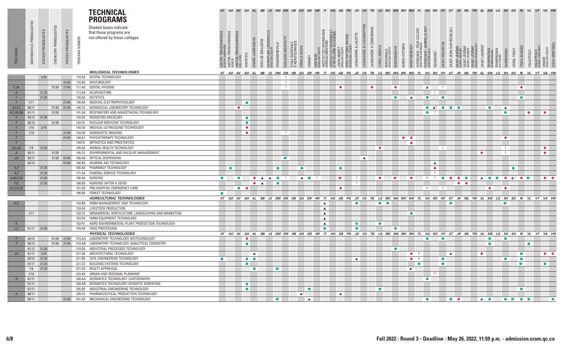|                |               |                     |            |             |                | <b>TECHNICAL</b><br><b>PROGRAMS</b>                                                |                                        |                                 |                                                |                                                                                                                                     |                  |                                         |                   |                                                          |                    |                                |                                 |                                       |                         |                                                                |                           |                         |                                              |             |                |                    |                                                                                |                                   |                             |                             | AT AO AV AH AL BB LE DM EM HB GG GR HR IT HQ AB PN JO CA TB LG MC MA MV MO FL HU RO HY ST JR ML TM SL SW LQ SH SO RI VL VT VA VM |                                |                            |                          |               |                             |                                     |                                                              |  |
|----------------|---------------|---------------------|------------|-------------|----------------|------------------------------------------------------------------------------------|----------------------------------------|---------------------------------|------------------------------------------------|-------------------------------------------------------------------------------------------------------------------------------------|------------------|-----------------------------------------|-------------------|----------------------------------------------------------|--------------------|--------------------------------|---------------------------------|---------------------------------------|-------------------------|----------------------------------------------------------------|---------------------------|-------------------------|----------------------------------------------|-------------|----------------|--------------------|--------------------------------------------------------------------------------|-----------------------------------|-----------------------------|-----------------------------|----------------------------------------------------------------------------------------------------------------------------------|--------------------------------|----------------------------|--------------------------|---------------|-----------------------------|-------------------------------------|--------------------------------------------------------------|--|
|                | PREREQUISITES | <b>ISITES</b>       | REREQUISIT | REQUISITES  |                | Shaded boxes indicate<br>that these programs are<br>not offered by these colleges. |                                        |                                 |                                                |                                                                                                                                     |                  |                                         |                   |                                                          |                    |                                | <b>CHNOLOGI</b>                 | RISME ET<br>QUEBEC                    | (KIUNA)                 |                                                                |                           |                         |                                              |             |                |                    | ELLE-RO'                                                                       |                                   |                             |                             |                                                                                                                                  |                                |                            |                          |               |                             |                                     |                                                              |  |
|                | MATHEMATICS   | PREREQUI<br>SCIENCE | CHEMISTRY  | PHYSICS     | PROGRAM NUMBER |                                                                                    | ABITIBI-TÉMISCAMINGU<br>BOLIVN NOBALIT | ABITIBI-TÉMISCAMINGUE<br>(AMOS) | ABITIBI-TÉMISCAMINGUE<br><sub>(VAL-D'OR)</sub> | ANDRÉ-LAURENDEAU<br>AHUNTSIC                                                                                                        | BOIS-DE-BOULOGNE | CHAMPLAIN LENNOXVILI<br>IENGLISH CÉGEP) | JMMONDVILLE       | ÉCOLE NATIONALE<br>D'AÉROTECHNIQUE<br>ÉDOUARD-MONTPI     | GÉRALD-GODIN       | HERITAGE<br>"ERITAGE<br>GRANBY | INSTITUT DE TEI<br>AGROALIMENTA | INSTITUT DE TOUR<br>D'HÔTELLERIE DU 1 | HN-ABBOT<br>GLISH CÉGEF | ANAUDIÈRE À JOLIETTE<br><b>HRST NATIONS</b><br>BILINGUAL CÉGEP | LANAUDIÈRE À L'ASSOMPTION | LANAUDIÈRE À TERREBONNE | LIONEL-GROULX<br>MACDONALD<br>(ENGLISH CÉGEP | MAISONNEUVE | MARIE-VICTORIN | MONTMORENCY        | OUTAOUAIS : FÉI<br>(SECTEUR GATINEA)<br>GA<br>OUTAOUAIS : I<br>I recteur HULL) | ROSEMONT                          | SAINT-HYACINTHE             | SAINT-JEAN-SUR-RICHELIEU    | SAINT-JÉRÔME)<br>(SAINT-JÉRÔME)                                                                                                  | SAINT-JÉRÔME<br>(MONT-TREMBLAI | SAINT-LAUREN<br>SHAWINIGAN | SHAWINIGAN<br>(LA TUQUE) | SHERBROOKE    | SOREL-TRACY                 | TROIS-RIVIÈRE<br>VALLEYFIELD        | VALLEYFIELD<br>(SAINT-CONSTANT)<br>VANIER<br>(ENGLISH CÉGEP) |  |
|                |               |                     |            |             |                | <b>BIOLOGICAL TECHNOLOGIES</b>                                                     |                                        |                                 | AT AO AV AH AL                                 |                                                                                                                                     | BB               |                                         |                   | LE DM EM HB GG GR HR IT HQ AB PN JO CA TB LG MC MA MV MO |                    |                                |                                 |                                       |                         |                                                                |                           |                         |                                              |             |                |                    | <b>FL</b>                                                                      |                                   |                             |                             | HU RO HY ST JR ML TM SL SW LQ SH SO                                                                                              |                                |                            |                          |               |                             | <b>RI</b><br>VL                     | VT VA VM                                                     |  |
|                |               | 2/20                |            |             |                | 110.A0 DENTAL TECHNOLOGY                                                           |                                        |                                 |                                                |                                                                                                                                     |                  |                                         |                   |                                                          |                    |                                |                                 |                                       |                         |                                                                |                           |                         |                                              |             |                |                    |                                                                                |                                   |                             |                             |                                                                                                                                  |                                |                            |                          |               |                             |                                     |                                                              |  |
|                |               |                     |            | 41/40       | 110.B0         | <b>DENTUROLOGY</b>                                                                 |                                        |                                 |                                                |                                                                                                                                     |                  |                                         |                   |                                                          |                    |                                |                                 |                                       |                         |                                                                |                           |                         |                                              |             |                |                    |                                                                                |                                   |                             |                             |                                                                                                                                  |                                |                            |                          |               |                             |                                     |                                                              |  |
| F, JA          |               |                     |            | 31/30 21/40 | 111.A0         | <b>DENTAL HYGIENE</b>                                                              |                                        |                                 |                                                |                                                                                                                                     |                  |                                         |                   |                                                          |                    |                                |                                 |                                       |                         |                                                                |                           |                         |                                              |             |                |                    |                                                                                |                                   |                             |                             |                                                                                                                                  |                                |                            |                          |               |                             |                                     |                                                              |  |
| A              |               | 21/20               |            |             |                | 112.A0 ACUPUNCTURE                                                                 |                                        |                                 |                                                |                                                                                                                                     |                  |                                         |                   |                                                          |                    |                                |                                 |                                       |                         |                                                                |                           |                         |                                              |             |                |                    |                                                                                | T                                 |                             |                             |                                                                                                                                  |                                |                            |                          |               |                             |                                     |                                                              |  |
| F.             |               | 21/20               |            |             | 120.A0         | DIETETICS                                                                          |                                        |                                 |                                                |                                                                                                                                     |                  |                                         |                   |                                                          |                    |                                |                                 |                                       |                         |                                                                |                           |                         |                                              |             |                |                    |                                                                                | <b>The Second</b>                 |                             |                             |                                                                                                                                  |                                |                            |                          |               |                             | <b>COL</b>                          |                                                              |  |
| F.             | 1/11          |                     |            | 21/40       | 140.A0         | MEDICAL ELECTROPHYSIOLOGY                                                          |                                        |                                 |                                                |                                                                                                                                     |                  |                                         |                   |                                                          |                    |                                |                                 |                                       |                         |                                                                |                           |                         |                                              |             |                |                    |                                                                                |                                   |                             |                             |                                                                                                                                  |                                |                            |                          |               |                             |                                     |                                                              |  |
| A,F,LC         | 60/11         |                     |            | 31/30 41/40 | 140.CO         | BIOMEDICAL LABORATORY TECHNOLOGY                                                   |                                        |                                 | ٠                                              |                                                                                                                                     |                  |                                         |                   |                                                          |                    |                                |                                 |                                       |                         |                                                                |                           |                         |                                              |             |                |                    |                                                                                | $\blacksquare$ $\blacktriangle^*$ | <b>College</b>              | <b>COL</b>                  |                                                                                                                                  |                                |                            |                          |               |                             |                                     |                                                              |  |
| A,F,JA,QA      | 61/11         |                     | 31/30      |             | 141.A0         | RESPIRATORY AND ANAESTHESIA TECHNOLOGY                                             |                                        |                                 |                                                |                                                                                                                                     |                  |                                         |                   |                                                          |                    |                                |                                 |                                       |                         |                                                                |                           |                         |                                              |             |                |                    |                                                                                | <b>The Co</b>                     |                             |                             |                                                                                                                                  |                                |                            |                          | $\sim$        |                             | $\bullet$                           | $\bullet$                                                    |  |
| F.             |               | 63/12 21/20         |            |             | 142.DO         | RADIATION ONCOLOGY                                                                 |                                        |                                 |                                                | <b>COL</b>                                                                                                                          |                  |                                         |                   |                                                          |                    |                                |                                 |                                       |                         |                                                                |                           |                         |                                              |             |                |                    |                                                                                |                                   |                             |                             |                                                                                                                                  |                                |                            |                          |               |                             |                                     |                                                              |  |
| F              | 63/12         |                     | 31/30      |             | 142.FO         | NUCLEAR MEDICINE TECHNOLOGY                                                        |                                        |                                 |                                                | <b>COL</b>                                                                                                                          |                  |                                         |                   |                                                          |                    |                                |                                 |                                       |                         |                                                                |                           |                         |                                              |             |                |                    |                                                                                |                                   |                             |                             |                                                                                                                                  |                                |                            |                          |               |                             |                                     |                                                              |  |
| F.             |               | $1/10$ $2/19$       |            |             | 142.GO         | MEDICAL ULTRASOUND TECHNOLOGY                                                      |                                        |                                 |                                                | $\bullet$                                                                                                                           |                  |                                         |                   |                                                          |                    |                                |                                 |                                       |                         |                                                                |                           |                         |                                              |             |                |                    |                                                                                |                                   |                             |                             |                                                                                                                                  |                                |                            |                          |               |                             |                                     |                                                              |  |
| F.             | 1/10          |                     |            | 21/40       | 142.HO         | DIAGNOSTIC IMAGING                                                                 |                                        |                                 |                                                | $\bullet$                                                                                                                           |                  |                                         |                   |                                                          |                    |                                |                                 |                                       |                         |                                                                |                           |                         |                                              |             |                |                    |                                                                                |                                   |                             |                             |                                                                                                                                  |                                |                            |                          |               |                             |                                     |                                                              |  |
| F.             |               |                     |            | 41/40       | 144.A1         | PHYSIOTHERAPY TECHNOLOGY                                                           |                                        |                                 |                                                |                                                                                                                                     |                  |                                         |                   |                                                          |                    |                                |                                 |                                       |                         |                                                                |                           |                         |                                              |             | $\bullet$      | $\bullet$          |                                                                                |                                   |                             |                             |                                                                                                                                  |                                |                            |                          |               |                             |                                     |                                                              |  |
| F.             |               |                     |            |             | 144.FO         | ORTHOTICS AND PROSTHETICS                                                          |                                        |                                 |                                                |                                                                                                                                     |                  |                                         |                   |                                                          |                    |                                |                                 |                                       |                         |                                                                |                           |                         |                                              |             |                |                    |                                                                                |                                   |                             |                             |                                                                                                                                  |                                |                            |                          |               |                             |                                     |                                                              |  |
| A,F,JA         |               | $1/9$ 21/20         |            |             | 145.A0         | ANIMAL HEALTH TECHNOLOGY                                                           |                                        |                                 |                                                |                                                                                                                                     |                  |                                         |                   |                                                          |                    |                                |                                 |                                       |                         |                                                                |                           |                         | $\bullet$                                    |             |                |                    |                                                                                |                                   |                             |                             |                                                                                                                                  |                                |                            |                          |               |                             |                                     | $\bullet$                                                    |  |
| A              | 63/11         |                     | 31/30      |             | 145.CO         | ENVIRONMENTAL AND WILDLIFE MANAGEMENT                                              |                                        |                                 |                                                |                                                                                                                                     |                  |                                         |                   |                                                          |                    |                                |                                 |                                       |                         |                                                                |                           |                         |                                              |             |                |                    |                                                                                |                                   |                             |                             |                                                                                                                                  |                                |                            |                          |               |                             |                                     | $\bullet$                                                    |  |
| JA             | 63/11         |                     |            | 21/30 41/40 | 160.A0         | OPTICAL DISPENSING                                                                 |                                        |                                 |                                                |                                                                                                                                     |                  |                                         |                   |                                                          |                    |                                |                                 |                                       |                         |                                                                |                           |                         |                                              |             |                |                    |                                                                                |                                   |                             |                             |                                                                                                                                  |                                |                            |                          |               |                             |                                     |                                                              |  |
|                | 63/13         |                     |            | 41/40       | 160.B0         | HEARING AID TECHNOLOGY                                                             |                                        |                                 |                                                |                                                                                                                                     |                  |                                         |                   |                                                          |                    |                                |                                 |                                       |                         |                                                                |                           |                         |                                              |             |                |                    |                                                                                | $\blacktriangle$                  |                             |                             |                                                                                                                                  |                                |                            |                          |               |                             |                                     |                                                              |  |
| A, F           |               | 21/20               |            |             | 165.A0         | PHARMACY TECHNOLOGY                                                                |                                        | $\mathcal{L}_{\rm{max}}$        |                                                |                                                                                                                                     |                  |                                         | <b>The Second</b> |                                                          | <b>COL</b>         |                                |                                 |                                       | $\blacksquare$          |                                                                |                           |                         |                                              |             |                |                    |                                                                                | $\bullet$                         |                             |                             |                                                                                                                                  |                                |                            |                          |               | $\mathcal{L}_{\mathcal{A}}$ |                                     |                                                              |  |
| A, F           |               | 21/20               |            |             | 171.A0         | FUNERAL SERVICE TECHNOLOGY                                                         |                                        |                                 |                                                |                                                                                                                                     |                  |                                         |                   |                                                          |                    |                                |                                 |                                       |                         |                                                                |                           |                         |                                              |             |                |                    |                                                                                |                                   |                             |                             |                                                                                                                                  |                                |                            |                          |               |                             |                                     |                                                              |  |
| A,AA,F,JA      |               | 21/20               |            |             | 180.A0         | NURSING                                                                            | <b>College</b>                         |                                 | <b>The Second</b>                              | $\bullet$                                                                                                                           | $\blacktriangle$ | $\blacktriangle$                        | <b>College</b>    |                                                          | $\blacktriangle$   |                                |                                 |                                       | $\bullet^*$             |                                                                |                           |                         | $\bullet$                                    | $\bullet^*$ |                |                    |                                                                                |                                   | $\mathcal{L}_{\mathcal{A}}$ | $\bullet$                   | $\bullet$<br>$\mathcal{L}$                                                                                                       |                                | $\blacktriangle$           |                          | $\bullet$     | $\mathbf{A}^*$ o            | $\blacksquare$                      | $\bullet$                                                    |  |
| F,G            |               | 21/20               |            |             | 180.B0         | NURSING (AFTER A SSVD)                                                             |                                        |                                 |                                                | $\bullet$                                                                                                                           | $\blacktriangle$ |                                         | <b>The State</b>  |                                                          |                    |                                |                                 |                                       |                         |                                                                |                           |                         |                                              |             |                |                    |                                                                                |                                   |                             |                             | $\bullet$                                                                                                                        |                                |                            |                          |               |                             |                                     |                                                              |  |
| A,F,I,K,LG     |               |                     |            |             |                | 181.A0 PRE-HOSPITAL EMERGENCY CARE                                                 |                                        |                                 | $\mathcal{L}_{\mathcal{A}}$                    | $\bullet$                                                                                                                           |                  |                                         |                   |                                                          |                    |                                |                                 |                                       | $\bullet$               |                                                                |                           |                         |                                              |             |                |                    |                                                                                |                                   |                             |                             |                                                                                                                                  |                                |                            | $\bullet$                | $\bullet$     |                             |                                     |                                                              |  |
|                |               |                     |            |             | 190.BO         | FOREST TECHNOLOGY                                                                  | $\mathcal{L}_{\mathcal{A}}$            |                                 |                                                |                                                                                                                                     |                  |                                         |                   |                                                          |                    |                                |                                 |                                       |                         |                                                                |                           |                         |                                              |             |                |                    |                                                                                |                                   |                             |                             |                                                                                                                                  |                                |                            |                          |               |                             |                                     |                                                              |  |
|                |               |                     |            |             |                | <b>AGRICULTURAL TECHNOLOGIES</b>                                                   |                                        |                                 | AT AO AV AH AL                                 |                                                                                                                                     |                  |                                         |                   | BB LE DM EM HB GG GR HR                                  |                    |                                |                                 |                                       |                         |                                                                |                           |                         |                                              |             |                |                    |                                                                                |                                   |                             |                             | IT HO. AB PN JO. CA TB LG MC MA MV MO FL HU RO HY ST JR ML TM SL SW LO. SH SO RI                                                 |                                |                            |                          |               |                             | VL                                  | VT VA VM                                                     |  |
| A,K            |               |                     |            |             | 152.B0         | FARM MANAGEMENT AND TECHNOLOGY                                                     |                                        |                                 |                                                |                                                                                                                                     |                  |                                         |                   |                                                          |                    |                                |                                 |                                       |                         |                                                                |                           |                         |                                              |             |                |                    |                                                                                |                                   |                             |                             |                                                                                                                                  |                                |                            |                          |               |                             |                                     |                                                              |  |
|                |               |                     |            |             | 153.A0         | LIVESTOCK PRODUCTION                                                               |                                        |                                 |                                                |                                                                                                                                     |                  |                                         |                   |                                                          |                    |                                | $\blacktriangle$                |                                       |                         |                                                                |                           |                         |                                              |             |                |                    |                                                                                |                                   |                             |                             |                                                                                                                                  |                                |                            |                          |               |                             |                                     |                                                              |  |
|                | 1/11          |                     |            |             | 153.CO         | ORNAMENTAL HORTICULTURE: LANDSCAPING AND MARKETING                                 |                                        |                                 |                                                |                                                                                                                                     |                  |                                         |                   |                                                          |                    |                                | $\blacktriangle$                |                                       |                         |                                                                |                           |                         |                                              |             |                |                    |                                                                                |                                   |                             |                             |                                                                                                                                  |                                |                            |                          |               |                             |                                     |                                                              |  |
|                |               |                     |            |             | 153.DO         | FARM EQUIPMENT TECHNOLOGY                                                          |                                        |                                 |                                                |                                                                                                                                     |                  |                                         |                   |                                                          |                    |                                | $\blacktriangle$                |                                       |                         |                                                                |                           |                         |                                              |             |                |                    |                                                                                |                                   |                             |                             |                                                                                                                                  |                                |                            |                          |               |                             |                                     |                                                              |  |
|                |               |                     |            |             | 153.FO         | AGRO-ENVIRONMENTAL PLANT PRODUCTION TECHNOLOGY                                     |                                        |                                 |                                                |                                                                                                                                     |                  |                                         |                   |                                                          |                    |                                | $\blacktriangle$                |                                       |                         | <b>Tale</b>                                                    |                           |                         |                                              |             |                |                    |                                                                                |                                   |                             |                             |                                                                                                                                  |                                |                            |                          |               |                             |                                     |                                                              |  |
| L, F           | 61/11 21/20   |                     |            |             |                | 154.A0 FOOD PROCESSING                                                             |                                        |                                 |                                                |                                                                                                                                     |                  |                                         |                   |                                                          |                    |                                |                                 |                                       |                         |                                                                |                           |                         |                                              |             |                |                    |                                                                                |                                   |                             |                             |                                                                                                                                  |                                |                            |                          |               |                             |                                     |                                                              |  |
|                |               |                     |            |             |                | PHYSICAL TECHNOLOGIES                                                              |                                        |                                 | AT AO AV AH AL                                 |                                                                                                                                     |                  |                                         |                   | BB LE DM EM HB GG                                        |                    | GR                             | HR<br>IT                        |                                       | HQ AB PN                |                                                                | JO CA                     | TB                      |                                              |             |                | LG MC MA MV MO FL  |                                                                                |                                   | HU RO HY ST JR              |                             |                                                                                                                                  |                                |                            |                          |               |                             | ML TM SL SW LQ SH SO RI VL VT VA VN |                                                              |  |
| F.             | 63/12         |                     |            |             |                | 31/30 21/40 210.AA LABORATORY TECHNOLOGY: BIOTECHNOLOGY                            |                                        |                                 |                                                |                                                                                                                                     |                  |                                         |                   |                                                          |                    |                                |                                 |                                       |                         |                                                                |                           |                         |                                              |             |                |                    |                                                                                |                                   |                             |                             |                                                                                                                                  |                                |                            |                          |               |                             |                                     |                                                              |  |
| F.             | 63/12         |                     |            | 31/30 21/40 |                | 210.AB LABORATORY TECHNOLOGY: ANALYTICAL CHEMISTRY                                 |                                        |                                 |                                                | <b>COL</b>                                                                                                                          |                  |                                         |                   |                                                          |                    |                                |                                 |                                       |                         |                                                                |                           |                         |                                              |             |                |                    |                                                                                |                                   |                             |                             |                                                                                                                                  |                                |                            |                          |               |                             | <b>College</b>                      |                                                              |  |
|                |               | 61/12 21/20         |            |             |                | 210.D0 INDUSTRIAL PROCESSES TECHNOLOGY                                             |                                        |                                 |                                                |                                                                                                                                     |                  |                                         |                   |                                                          |                    |                                |                                 |                                       |                         |                                                                |                           |                         |                                              |             |                |                    |                                                                                |                                   |                             |                             |                                                                                                                                  |                                |                            |                          |               |                             |                                     |                                                              |  |
| <b>JA</b>      | 61/11 2/20    |                     |            |             |                | 221.A0 ARCHITECTURAL TECHNOLOGY                                                    |                                        |                                 |                                                | $\blacktriangle$                                                                                                                    |                  |                                         |                   |                                                          |                    |                                |                                 |                                       |                         |                                                                |                           |                         |                                              |             |                | $\bullet$          |                                                                                |                                   |                             | $\blacktriangle$            |                                                                                                                                  |                                |                            |                          |               |                             | $\mathcal{L}_{\mathcal{A}}$         | $\bullet\quad \bullet$                                       |  |
|                |               | 63/12 21/20         |            |             |                | 221.B0 CIVIL ENGINEERING TECHNOLOGY                                                | <b>Contractor</b>                      |                                 |                                                | $\sim 100$<br><b>The Contract of the Contract of the Contract of the Contract of the Contract of the Contract of the Contract o</b> |                  |                                         |                   |                                                          |                    |                                |                                 |                                       |                         | ▲                                                              |                           |                         |                                              |             |                | $\bullet$          |                                                                                |                                   |                             |                             |                                                                                                                                  |                                |                            |                          | <b>The Co</b> |                             | п                                   |                                                              |  |
|                | 61/11 21/20   |                     |            |             | 221.CO         | BUILDING SYSTEMS TECHNOLOGY                                                        |                                        |                                 |                                                |                                                                                                                                     |                  |                                         |                   |                                                          |                    |                                |                                 |                                       |                         |                                                                |                           |                         |                                              |             |                |                    | <b>The State</b>                                                               |                                   |                             |                             |                                                                                                                                  |                                |                            |                          |               |                             |                                     | $\mathcal{L}_{\mathcal{A}}$                                  |  |
|                |               | $1/8$ 21/20         |            |             |                | 221.D0 REALTY APPRAISAL                                                            |                                        |                                 |                                                | <b>The State</b>                                                                                                                    |                  |                                         | $\blacksquare^*$  |                                                          |                    |                                |                                 |                                       |                         |                                                                |                           |                         |                                              |             |                | $\blacktriangle^*$ |                                                                                |                                   |                             |                             |                                                                                                                                  |                                |                            |                          |               |                             |                                     |                                                              |  |
|                | 1/10          |                     |            |             | 222.A0         | URBAN AND REGIONAL PLANNING                                                        |                                        |                                 |                                                |                                                                                                                                     |                  |                                         |                   |                                                          |                    |                                |                                 |                                       |                         |                                                                |                           |                         |                                              |             |                |                    |                                                                                |                                   |                             |                             |                                                                                                                                  |                                |                            |                          |               |                             |                                     |                                                              |  |
| $\overline{A}$ | 61/11         |                     |            |             |                | 230.AA GEOMATICS TECHNOLOGY: CARTOGRAPHY                                           |                                        |                                 |                                                |                                                                                                                                     |                  |                                         |                   |                                                          |                    |                                |                                 |                                       |                         |                                                                |                           |                         |                                              |             |                |                    |                                                                                |                                   |                             |                             |                                                                                                                                  |                                |                            |                          |               |                             |                                     |                                                              |  |
|                | 61/11         |                     |            |             |                | 230.AB GEOMATICS TECHNOLOGY: GEODETIC SURVEYING                                    |                                        |                                 |                                                | <b>In</b>                                                                                                                           |                  |                                         |                   |                                                          |                    |                                |                                 |                                       |                         |                                                                |                           |                         |                                              |             |                |                    |                                                                                |                                   |                             |                             |                                                                                                                                  |                                |                            |                          |               |                             |                                     |                                                              |  |
|                | 61/11         |                     |            |             | 235.BO         | INDUSTRIAL ENGINEERING TECHNOLOGY                                                  |                                        |                                 |                                                | $\mathbf{m}$                                                                                                                        |                  |                                         |                   |                                                          |                    | $\mathcal{L}_{\mathcal{A}}$    |                                 |                                       |                         |                                                                |                           |                         | <b>COL</b>                                   |             |                |                    |                                                                                |                                   |                             |                             |                                                                                                                                  |                                |                            |                          |               |                             | <b>COL</b>                          |                                                              |  |
| $\mathsf{A}$   | 60/11         |                     |            |             | 235.CO         | PHARMACEUTICAL PRODUCTION TECHNOLOGY                                               |                                        |                                 |                                                |                                                                                                                                     |                  |                                         |                   |                                                          | $\blacktriangle^*$ |                                |                                 |                                       | $\blacktriangle$        |                                                                |                           |                         |                                              |             |                |                    |                                                                                |                                   |                             |                             |                                                                                                                                  |                                |                            |                          |               |                             |                                     |                                                              |  |
|                | 60/11         |                     |            | 41/40       | 241.A0         | MECHANICAL ENGINEERING TECHNOLOGY                                                  |                                        |                                 |                                                |                                                                                                                                     |                  |                                         | $\blacksquare^*$  |                                                          |                    | $\blacktriangle$               |                                 |                                       |                         |                                                                |                           |                         |                                              |             |                |                    |                                                                                | <b>The State</b>                  |                             | $\mathcal{L}_{\mathcal{A}}$ | $\bullet$                                                                                                                        |                                | ▲                          |                          |               |                             | $\mathbf{r}$                        |                                                              |  |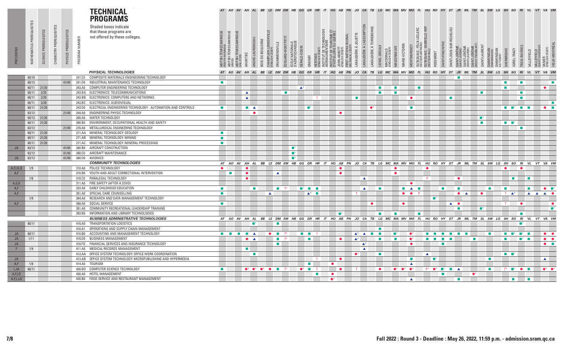|               |               |             |               |               |                | <b>TECHNICAL</b><br><b>PROGRAMS</b>                                                | AT                                                                          | AO AV AH AL BB LE DM EM HB GG GR HR |                             |                                      |                                    |                      |                                                      |                    |                  |                                                                                                                            | $IT$ $HQ$                   | AB PN                                                                                              | JO                                               |                 |                | CA TB LG MC MA MV MO FL HU RO HY ST        |                |                                                               |                                                       |                  |                              | $J\!R$                                                    |                        |                                |                             |                             |                             |                                                                                                                                                                                                                                      | ML TM SL SW LQ SH SO RI VL  |                                              | VT VA VM                          |                |
|---------------|---------------|-------------|---------------|---------------|----------------|------------------------------------------------------------------------------------|-----------------------------------------------------------------------------|-------------------------------------|-----------------------------|--------------------------------------|------------------------------------|----------------------|------------------------------------------------------|--------------------|------------------|----------------------------------------------------------------------------------------------------------------------------|-----------------------------|----------------------------------------------------------------------------------------------------|--------------------------------------------------|-----------------|----------------|--------------------------------------------|----------------|---------------------------------------------------------------|-------------------------------------------------------|------------------|------------------------------|-----------------------------------------------------------|------------------------|--------------------------------|-----------------------------|-----------------------------|-----------------------------|--------------------------------------------------------------------------------------------------------------------------------------------------------------------------------------------------------------------------------------|-----------------------------|----------------------------------------------|-----------------------------------|----------------|
|               | PREREQUISITES | TES         | PREREQUISITES | PREREQUISITES |                | Shaded boxes indicate<br>that these programs are<br>not offered by these colleges. |                                                                             |                                     |                             |                                      |                                    |                      |                                                      |                    |                  |                                                                                                                            |                             | (KIUNA)                                                                                            |                                                  | <b>IEBONNE</b>  |                |                                            |                | LECLERO                                                       |                                                       |                  |                              |                                                           |                        |                                |                             |                             |                             |                                                                                                                                                                                                                                      |                             |                                              |                                   |                |
| PRECISIONS    | MATHEMATICS   | SCIENCE     | CHEMISTRY     | PHYSICS       | PROGRAM NUMBER |                                                                                    | ABITIBI-TÉMISCAMINGUE<br>(ROUYN-NOBANDA)<br>ABITIBI-TÉMISCAMINGUE<br>(AMOS) | ABITIBI-TÉMISCAMINGUE<br>(VAL-D'OR) | AHUNTSIC                    | ANDRÉ-LAURENDEAU<br>BOIS-DE-BOULOGNE | CHAMPLAIN LENNOX<br>ENGLISH CÉGEPI | <b>JRUMMONDVILLE</b> | EDOUARD-MONTPE<br>ÉCOLE NATIONALE<br>D'AÉROTECHNIQUE | GÉRALD-GODIN       | GRANBY           | INSTITUT DE TECHNOLOGIE<br>AGROALIMENTAIRE<br>INSTITUT DE TOURISME ET<br>D'HÔTELLERIE DU QUÉBÉC<br>HERITAGE<br>FNGI ISH CÉ | <b>J-ABBOT</b><br>ISH CÉGEI | <b>IRST NATIONS</b><br>SMINGUAL CÉGEP                                                              | ANAUDIÈRE À L'ASSOMPTION<br>ANAUDIÈRE À JOLIETTE | ANAUDIÈRE À TEI | IONEL-GROUL    | MAISONNEUVE<br>VIACDONALD<br>ENGLISH CÉGEP | MARIE-VICTORIN | OUTAOUAIS : FÉI<br>« « « TEIR GATINEAI<br><b>VIONTMORENCY</b> | $\mathfrak{S}$<br><b>OUTAOUAIS:</b><br>(SECTEIR HILL) | ROSEMONT         | SAINT-HYACINTHE              | SAINT-JEAN-SUR-RICHELIEU<br>SAINT-JÉRÔMI<br>SAINT-JÉRÔME) | INT-JÉRÔ<br>INT-LAURII | SAINT-JERÖME<br>(MONT-TREMBLAN | SAINT-LAURENT<br>HAWINIGAN  | SHAWINIGAN<br>(LA TUQUE)    | SHERBROOKE                  | SOREL-TRACY                                                                                                                                                                                                                          | TROIS-RIVIÈRI               | VALLEYFIELD<br>(SAINT-CONSTAN<br>VALLEYFIELD | CÉGEI<br><b>/ANIER</b><br>ENGLISH |                |
|               |               |             |               |               |                |                                                                                    |                                                                             | AT AO AV AH                         |                             | AL                                   |                                    |                      | BB LE DM EM HB GG GR HR                              |                    |                  |                                                                                                                            | $IT$ $HQ$                   |                                                                                                    | JO CA TB LG MC MA MV MO                          |                 |                |                                            |                |                                                               |                                                       |                  | FL HU RO HY ST               |                                                           |                        | ML TM SL SW                    |                             |                             |                             | SH SO RI                                                                                                                                                                                                                             |                             | VL VT VA VM                                  |                                   |                |
|               | 60/10         |             |               |               |                | PHYSICAL TECHNOLOGIES<br>241.C0 COMPOSITE MATERIALS ENGINEERING TECHNOLOGY         |                                                                             |                                     |                             |                                      |                                    |                      |                                                      |                    |                  |                                                                                                                            | AB                          | PN                                                                                                 |                                                  |                 |                |                                            |                |                                                               |                                                       |                  |                              | $J\!R$                                                    |                        |                                |                             | LQ                          |                             |                                                                                                                                                                                                                                      |                             |                                              |                                   |                |
|               | 60/12         |             |               |               | 41/40 241.DO   | INDUSTRIAL MAINTENANCE TECHNOLOGY                                                  | <b>The Co</b>                                                               |                                     |                             |                                      |                                    |                      |                                                      |                    |                  |                                                                                                                            |                             |                                                                                                    |                                                  |                 |                |                                            |                |                                                               |                                                       |                  |                              |                                                           |                        |                                |                             |                             | $\mathcal{L}_{\mathcal{A}}$ |                                                                                                                                                                                                                                      | $\mathcal{L}_{\text{max}}$  |                                              |                                   | $\mathbf{r}$   |
|               |               | 60/11 21/20 |               |               | 243.A0         | COMPUTER ENGINEERING TECHNOLOGY                                                    |                                                                             |                                     |                             |                                      |                                    |                      |                                                      | $\blacktriangle^*$ |                  |                                                                                                                            |                             |                                                                                                    |                                                  |                 |                |                                            |                | <b>The Second</b>                                             |                                                       |                  |                              |                                                           |                        |                                |                             |                             |                             |                                                                                                                                                                                                                                      |                             |                                              | $\bullet$                         |                |
|               |               | 60/11 2/20  |               |               | 243.BA         | ELECTRONICS: TELECOMMUNICATIONS                                                    |                                                                             |                                     | $\blacktriangle$            |                                      |                                    |                      | ш                                                    |                    |                  |                                                                                                                            |                             |                                                                                                    |                                                  |                 |                |                                            |                |                                                               |                                                       |                  |                              |                                                           |                        |                                |                             |                             |                             |                                                                                                                                                                                                                                      | <b>In</b>                   |                                              |                                   |                |
|               | 60/11         | 2/20        |               |               | 243.BB         | ELECTRONICS: COMPUTERS AND NETWORKS                                                |                                                                             |                                     | $\blacktriangle$            |                                      |                                    |                      |                                                      |                    |                  |                                                                                                                            |                             |                                                                                                    | $\sim$                                           |                 |                |                                            |                | $\bullet$                                                     |                                                       |                  |                              | $\mathcal{L}_{\mathcal{A}}$                               |                        |                                |                             |                             |                             |                                                                                                                                                                                                                                      | <b>COL</b>                  |                                              |                                   |                |
|               | 60/11         | 2/20        |               |               |                | 243.BC ELECTRONICS: AUDIOVISUAL                                                    |                                                                             |                                     |                             |                                      |                                    |                      |                                                      |                    |                  |                                                                                                                            |                             |                                                                                                    |                                                  |                 |                |                                            |                |                                                               |                                                       |                  |                              |                                                           |                        |                                |                             |                             |                             |                                                                                                                                                                                                                                      |                             |                                              |                                   |                |
|               |               | 60/11 21/20 |               |               | 243.DO         | ELECTRICAL ENGINEERING TECHNOLOGY : AUTOMATION AND CONTROLS                        | <b>The Co</b>                                                               |                                     | ■▲                          |                                      |                                    |                      |                                                      |                    | $\blacksquare$   |                                                                                                                            |                             |                                                                                                    |                                                  |                 |                |                                            |                |                                                               |                                                       |                  |                              |                                                           |                        |                                |                             |                             |                             | $\blacksquare$                                                                                                                                                                                                                       | $\mathcal{L}_{\mathcal{A}}$ |                                              | $\bullet$                         |                |
|               | 63/12         |             |               | 21/40         | 244.A0         | ENGINEERING PHYSIC TECHNOLOGY                                                      |                                                                             |                                     |                             |                                      |                                    |                      |                                                      |                    |                  |                                                                                                                            |                             |                                                                                                    |                                                  |                 |                |                                            |                |                                                               |                                                       |                  |                              |                                                           |                        |                                |                             |                             |                             |                                                                                                                                                                                                                                      |                             |                                              |                                   |                |
|               |               | 60/12 21/20 |               |               |                | 260.A0 WATER TECHNOLOGY                                                            |                                                                             |                                     |                             |                                      |                                    |                      |                                                      |                    |                  |                                                                                                                            |                             |                                                                                                    |                                                  |                 |                |                                            |                |                                                               |                                                       |                  |                              |                                                           |                        |                                | $\blacksquare^*$            |                             |                             |                                                                                                                                                                                                                                      |                             |                                              |                                   |                |
|               |               | 60/11 21/20 |               |               | 260.B0         | ENVIRONMENT, OCCUPATIONAL HEALTH AND SAFETY                                        |                                                                             |                                     |                             |                                      |                                    |                      |                                                      |                    |                  |                                                                                                                            |                             |                                                                                                    |                                                  |                 |                |                                            |                |                                                               |                                                       |                  |                              |                                                           |                        |                                | $\mathcal{L}_{\mathcal{A}}$ |                             |                             | $\blacksquare$ $\blacksquare$ $\blacktriangleright$                                                                                                                                                                                  |                             |                                              |                                   |                |
|               | 63/12         |             |               |               | 21/40 270.A0   | METALLURGICAL ENGINEERING TECHNOLOGY                                               |                                                                             |                                     |                             |                                      |                                    |                      |                                                      |                    |                  |                                                                                                                            |                             |                                                                                                    |                                                  |                 |                |                                            |                |                                                               |                                                       |                  |                              |                                                           |                        |                                |                             |                             |                             |                                                                                                                                                                                                                                      |                             |                                              |                                   |                |
|               |               | 60/11 21/20 |               |               |                | 271.AA MINERAL TECHNOLOGY: GEOLOGY                                                 | $\mathcal{L}_{\mathcal{A}}$                                                 |                                     |                             |                                      |                                    |                      |                                                      |                    |                  |                                                                                                                            |                             |                                                                                                    |                                                  |                 |                |                                            |                |                                                               |                                                       |                  |                              |                                                           |                        |                                |                             |                             |                             |                                                                                                                                                                                                                                      |                             |                                              |                                   |                |
|               |               | 60/11 21/20 |               |               |                | 271.AB MINERAL TECHNOLOGY: MINING                                                  | $\mathcal{L}_{\mathcal{A}}$                                                 |                                     |                             |                                      |                                    |                      |                                                      |                    |                  |                                                                                                                            |                             |                                                                                                    |                                                  |                 |                |                                            |                |                                                               |                                                       |                  |                              |                                                           |                        |                                |                             |                             |                             |                                                                                                                                                                                                                                      |                             |                                              |                                   |                |
|               |               | 60/11 21/20 |               |               |                | 271.AC MINERAL TECHNOLOGY: MINERAL PROCESSING                                      | <b>In</b>                                                                   |                                     |                             |                                      |                                    |                      |                                                      |                    |                  |                                                                                                                            |                             |                                                                                                    |                                                  |                 |                |                                            |                |                                                               |                                                       |                  |                              |                                                           |                        |                                |                             |                             |                             |                                                                                                                                                                                                                                      |                             |                                              |                                   |                |
| <b>JA</b>     | 63/12         |             |               | 41/40         | 280.B0         | AIRCRAFT CONSTRUCTION                                                              |                                                                             |                                     |                             |                                      |                                    |                      | ▬                                                    |                    |                  |                                                                                                                            |                             |                                                                                                    |                                                  |                 |                |                                            |                |                                                               |                                                       |                  |                              |                                                           |                        |                                |                             |                             |                             |                                                                                                                                                                                                                                      |                             |                                              |                                   |                |
|               | 63/12         |             |               | 41/40         | 280.CO         | AIRCRAFT MAINTENANCE                                                               |                                                                             |                                     |                             |                                      |                                    |                      | $\blacksquare^*$                                     |                    |                  |                                                                                                                            |                             |                                                                                                    |                                                  |                 |                |                                            |                |                                                               |                                                       |                  |                              |                                                           |                        |                                |                             |                             |                             |                                                                                                                                                                                                                                      |                             |                                              |                                   |                |
| JA            | 63/12         |             |               | 41/40         |                | 280.D0 AVIONICS                                                                    |                                                                             |                                     |                             |                                      |                                    |                      | $\blacksquare^*$                                     |                    |                  |                                                                                                                            |                             |                                                                                                    |                                                  |                 |                |                                            |                |                                                               |                                                       |                  |                              |                                                           |                        |                                |                             |                             |                             |                                                                                                                                                                                                                                      |                             |                                              |                                   |                |
|               |               |             |               |               |                | <b>COMMUNITY TECHNOLOGIES</b>                                                      |                                                                             | AT AO AV AH AL                      |                             |                                      |                                    |                      | BB LE DM EM HB GG GR HR                              |                    |                  |                                                                                                                            | IT HQ AB PN                 |                                                                                                    | JO<br>CA                                         | TB              |                | LG MC MA MV MO                             |                | <b>FL</b>                                                     |                                                       |                  | HU RO HY ST                  | JR                                                        |                        | ML TM SL                       |                             | SW LO                       |                             | SH SO                                                                                                                                                                                                                                | <b>RI</b>                   | VL                                           | VT VA VM                          |                |
| A, F, I, K, Q | 1/9           |             |               |               |                | 310.A0 POLICE TECHNOLOGY                                                           | $\bullet$                                                                   |                                     |                             |                                      |                                    |                      |                                                      |                    |                  |                                                                                                                            |                             |                                                                                                    |                                                  |                 |                |                                            |                |                                                               |                                                       |                  |                              |                                                           |                        |                                |                             |                             |                             |                                                                                                                                                                                                                                      |                             |                                              |                                   |                |
| A, F          |               |             |               |               | 310.B0         | YOUTH AND ADULT CORRECTIONAL INTERVENTION                                          |                                                                             | $\mathcal{L}_{\mathcal{A}}$         | $\bullet$                   |                                      |                                    |                      |                                                      |                    |                  |                                                                                                                            |                             |                                                                                                    |                                                  |                 |                |                                            |                |                                                               |                                                       |                  |                              |                                                           |                        |                                |                             |                             |                             |                                                                                                                                                                                                                                      |                             |                                              |                                   |                |
|               | 1/8           |             |               |               | 310.CO         | PARALEGAL TECHNOLOGY                                                               |                                                                             |                                     | $\bullet$                   |                                      |                                    |                      |                                                      |                    |                  |                                                                                                                            |                             |                                                                                                    | $\blacktriangle$                                 |                 |                |                                            |                |                                                               | <b>P</b>                                              |                  |                              |                                                           |                        |                                |                             |                             |                             | <b>The Contract of the Contract of the Contract of the Contract of the Contract of the Contract of The Contract of The Contract of The Contract of The Contract of The Contract of The Contract of The Contract of The Contract </b> |                             | $\mathcal{L}_{\mathcal{A}}$                  |                                   |                |
| A, G, K       |               |             |               |               |                | 311.A0 FIRE SAFETY (AFTER A SSVD)                                                  |                                                                             |                                     |                             |                                      |                                    |                      |                                                      |                    |                  |                                                                                                                            |                             |                                                                                                    |                                                  |                 |                |                                            |                |                                                               |                                                       |                  |                              |                                                           |                        |                                |                             |                             |                             |                                                                                                                                                                                                                                      |                             |                                              |                                   |                |
| A, F          |               |             |               |               | 322.A0         | EARLY CHILDHOOD EDUCATION                                                          | <b>The Co</b>                                                               |                                     |                             |                                      |                                    |                      |                                                      |                    |                  |                                                                                                                            |                             |                                                                                                    |                                                  |                 |                |                                            | $\mathbf{r}$   |                                                               |                                                       |                  |                              |                                                           |                        |                                |                             |                             |                             |                                                                                                                                                                                                                                      |                             | <b>The Co</b>                                | $\bullet$ $\blacksquare^*$        |                |
| A, F          |               |             |               |               | 351.A0         | SPECIAL CARE COUNSELLING                                                           | $\mathcal{L}_{\mathcal{A}}$                                                 |                                     |                             |                                      |                                    |                      |                                                      |                    |                  |                                                                                                                            |                             |                                                                                                    |                                                  |                 |                |                                            | $\bullet$      |                                                               |                                                       |                  |                              |                                                           |                        |                                |                             |                             |                             | $\blacktriangle^*$                                                                                                                                                                                                                   |                             | $\blacktriangle$                             |                                   |                |
|               | 1/9           |             |               |               |                | 384.A0 RESEARCH AND DATA MANAGEMENT TECHNOLOGY                                     |                                                                             |                                     |                             |                                      |                                    |                      |                                                      |                    |                  |                                                                                                                            |                             |                                                                                                    |                                                  |                 |                |                                            |                |                                                               |                                                       | ■                |                              |                                                           |                        |                                |                             |                             |                             |                                                                                                                                                                                                                                      |                             |                                              |                                   |                |
| A, F          |               |             |               |               |                | 388.A0 SOCIAL SERVICE                                                              | <b>The Second</b>                                                           |                                     |                             |                                      |                                    |                      |                                                      |                    |                  |                                                                                                                            |                             |                                                                                                    |                                                  | $\bullet$       |                |                                            | $\bullet$      |                                                               |                                                       |                  |                              | $\blacktriangle$<br>- 4                                   |                        |                                |                             |                             |                             |                                                                                                                                                                                                                                      |                             |                                              |                                   | $\bullet$      |
|               |               |             |               |               |                | 391.A0 COMMUNITY RECREATIONAL LEADERSHIP TRAINING                                  |                                                                             |                                     |                             |                                      |                                    |                      |                                                      |                    |                  |                                                                                                                            |                             |                                                                                                    |                                                  |                 |                |                                            |                |                                                               |                                                       |                  |                              |                                                           |                        |                                |                             |                             |                             |                                                                                                                                                                                                                                      |                             |                                              |                                   | $\blacksquare$ |
|               |               |             |               |               |                | 393.B0 INFORMATION AND LIBRARY TECHNOLOGIES                                        |                                                                             |                                     |                             |                                      |                                    |                      |                                                      |                    |                  |                                                                                                                            |                             |                                                                                                    |                                                  |                 |                |                                            |                | <b>COL</b>                                                    |                                                       |                  |                              |                                                           |                        |                                |                             |                             |                             |                                                                                                                                                                                                                                      |                             |                                              |                                   |                |
|               |               |             |               |               |                | <b>BUSINESS ADMINISTRATIVE TECHNOLOGIES</b>                                        |                                                                             | AT AO AV AH AL                      |                             |                                      |                                    |                      |                                                      |                    |                  |                                                                                                                            |                             | BB LE DM EM HB GG GR HR IT HQ AB PN JO CA TB LG MC MA MV MO FL HU RO HY ST JR ML TM SL SW LQ SH SO |                                                  |                 |                |                                            |                |                                                               |                                                       |                  |                              |                                                           |                        |                                |                             |                             |                             |                                                                                                                                                                                                                                      | RI                          | VL VT VA VM                                  |                                   |                |
|               | 60/11         |             |               |               |                | 410.A0 TRANSPORTATION LOGISTICS                                                    |                                                                             |                                     |                             |                                      |                                    |                      |                                                      |                    |                  |                                                                                                                            |                             |                                                                                                    |                                                  |                 |                |                                            |                |                                                               |                                                       |                  |                              |                                                           |                        |                                |                             |                             |                             |                                                                                                                                                                                                                                      |                             |                                              |                                   |                |
|               |               |             |               |               | 410.A1         | OPERATIONS AND SUPPLY CHAIN MANAGEMENT                                             |                                                                             |                                     |                             |                                      |                                    |                      |                                                      |                    |                  |                                                                                                                            |                             |                                                                                                    |                                                  |                 |                |                                            |                |                                                               |                                                       |                  |                              |                                                           |                        |                                |                             |                             |                             |                                                                                                                                                                                                                                      |                             |                                              |                                   |                |
| <b>JA</b>     | 60/11         |             |               |               | 410.B0         | ACCOUNTING AND MANAGEMENT TECHNOLOGY                                               |                                                                             | <b>Contract Contract Contract</b>   | $\sim$                      | $\blacktriangle$                     | $\bullet$                          | $\sim$               |                                                      | $\mathbf{r}$       |                  |                                                                                                                            |                             |                                                                                                    | $\blacktriangle^*$ $\blacktriangle$              | <b>Contract</b> | $\blacksquare$ | $\blacksquare^*$                           |                | $\bullet^*$                                                   | $\mathcal{A}^{\mathcal{A}}$ .                         | <b>Contract</b>  | <b>Contract Contract</b>     | <b>Contract</b><br>$\sim 10$                              | <b>Table 19</b>        |                                |                             | $\mathcal{L}_{\mathcal{A}}$ |                             | $\blacksquare$ $\blacksquare$ $\blacksquare$ $\blacksquare$ $\blacksquare$                                                                                                                                                           | $\blacksquare^*$            |                                              | $\bullet\quad \bullet$            |                |
| JA            | 1/11          |             |               |               |                | 410.D0 BUSINESS MANAGEMENT                                                         |                                                                             |                                     | $\bullet$                   |                                      |                                    |                      |                                                      |                    |                  |                                                                                                                            | $\bullet$                   |                                                                                                    | $\blacktriangle^*$                               |                 |                |                                            |                | $\bullet^*$                                                   | <b>The State</b>                                      |                  |                              |                                                           |                        |                                |                             |                             |                             |                                                                                                                                                                                                                                      | −                           |                                              | $\bullet\quad \bullet$            |                |
| JA            |               |             |               |               | 410.FO         | FINANCIAL SERVICES AND INSURANCE TECHNOLOGY                                        |                                                                             |                                     |                             |                                      |                                    |                      |                                                      |                    |                  |                                                                                                                            |                             |                                                                                                    | $\blacktriangle^*$                               |                 |                |                                            |                | $\bullet$                                                     |                                                       |                  |                              |                                                           |                        |                                |                             |                             |                             |                                                                                                                                                                                                                                      |                             |                                              | $\bullet$ $\blacksquare$          |                |
| F.            | 1/9           |             |               |               | 411.A0         | MEDICAL RECORDS MANAGEMENT                                                         |                                                                             |                                     | $\mathcal{L}_{\mathcal{A}}$ |                                      |                                    |                      |                                                      |                    |                  |                                                                                                                            |                             |                                                                                                    | ▲                                                |                 |                |                                            |                |                                                               |                                                       |                  |                              |                                                           |                        |                                |                             |                             |                             |                                                                                                                                                                                                                                      |                             |                                              |                                   |                |
|               |               |             |               |               |                | 412.AA OFFICE SYSTEM TECHNOLOGY: OFFICE WORK COORDINATION                          |                                                                             |                                     |                             |                                      |                                    |                      |                                                      |                    |                  |                                                                                                                            |                             |                                                                                                    | $\bullet^*$                                      |                 | $\blacksquare$ |                                            |                |                                                               | $\blacktriangle$                                      |                  |                              |                                                           |                        |                                |                             |                             | $\sim 100$                  | $\blacksquare$                                                                                                                                                                                                                       |                             |                                              |                                   |                |
| <b>JA</b>     |               |             |               |               | 412.AB         | OFFICE SYSTEM TECHNOLOGY: MICROPUBLISHING AND HYPERMEDIA                           |                                                                             |                                     |                             |                                      |                                    |                      |                                                      |                    |                  |                                                                                                                            | $\bullet$                   |                                                                                                    |                                                  |                 |                |                                            |                | <b>College</b>                                                |                                                       | $\blacksquare^*$ |                              |                                                           |                        |                                |                             | $\mathcal{L}_{\mathcal{A}}$ |                             |                                                                                                                                                                                                                                      |                             |                                              | $\blacktriangle$                  |                |
| A, F          | 1/8           |             |               |               |                | 414.A0 TOURISM                                                                     |                                                                             |                                     |                             |                                      |                                    |                      |                                                      |                    |                  |                                                                                                                            |                             |                                                                                                    |                                                  |                 |                |                                            |                | $\blacktriangle$                                              |                                                       |                  |                              |                                                           |                        |                                |                             |                             |                             |                                                                                                                                                                                                                                      |                             |                                              |                                   |                |
| I,JA          | 60/11         |             |               |               | 420.BO         | COMPUTER SCIENCE TECHNOLOGY                                                        | $\mathcal{L}_{\mathcal{A}}$                                                 |                                     | $\bullet^*$ $\bullet^*$     |                                      |                                    |                      |                                                      | $\bullet^*$        | <b>The State</b> |                                                                                                                            |                             |                                                                                                    |                                                  |                 | $\bullet$      | $\bullet^*$                                | $\bullet^*$    | $\bullet^*$                                                   |                                                       |                  | $\bullet^*$ $\blacksquare^*$ | $\mathcal{L}_{\rm{max}}$                                  |                        |                                |                             |                             |                             | $\blacksquare$                                                                                                                                                                                                                       | $\bullet$<br>$\sim$         |                                              | $\bullet^*$ $\bullet^*$           |                |
| A,F,LD        |               |             |               |               | 430.A0         | HOTEL MANAGEMENT                                                                   |                                                                             |                                     |                             |                                      |                                    |                      |                                                      |                    |                  | $\mathcal{L}_{\mathcal{A}}$                                                                                                | $\bullet$                   |                                                                                                    |                                                  |                 |                |                                            |                |                                                               |                                                       |                  |                              |                                                           |                        | $\bullet^*$                    |                             |                             |                             |                                                                                                                                                                                                                                      |                             |                                              |                                   |                |
| A,F,L,LA      |               |             |               |               |                | 430.B0 FOOD SERVICE AND RESTAURANT MANAGEMENT                                      |                                                                             |                                     |                             |                                      |                                    |                      |                                                      |                    |                  |                                                                                                                            | $\bullet^*$                 |                                                                                                    |                                                  |                 |                |                                            |                | $\blacktriangle$                                              |                                                       |                  |                              |                                                           | <b>The State</b>       |                                |                             |                             |                             | $\mathcal{L}_{\mathcal{A}}$                                                                                                                                                                                                          |                             | $\mathcal{L}_{\mathcal{A}}$                  |                                   |                |